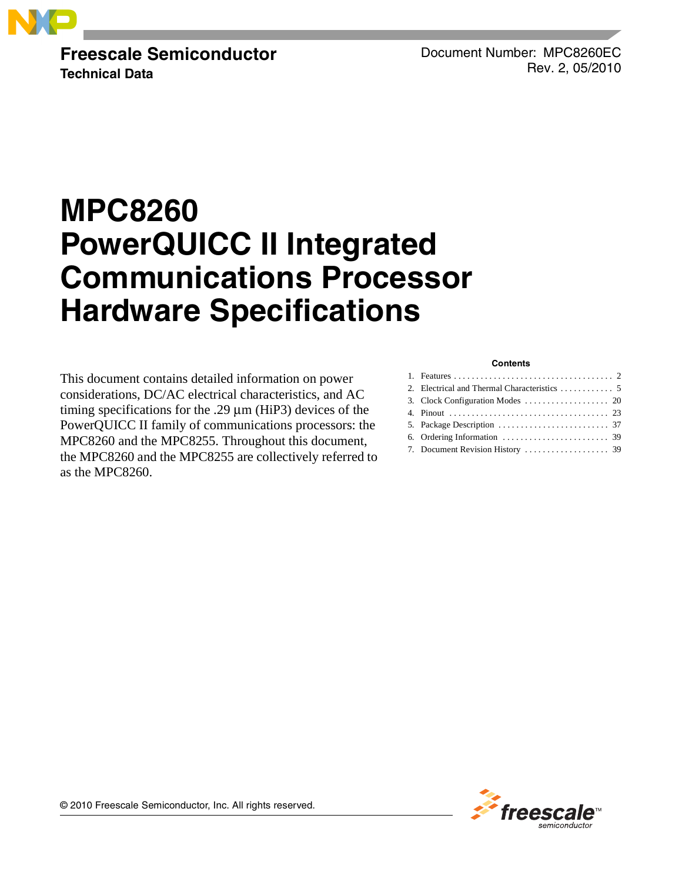

**Freescale Semiconductor Technical Data**

Document Number: MPC8260EC Rev. 2, 05/2010

# **MPC8260 PowerQUICC II Integrated Communications Processor Hardware Specifications**

This document contains detailed information on power considerations, DC/AC electrical characteristics, and AC timing specifications for the .29 μm (HiP3) devices of the PowerQUICC II family of communications processors: the MPC8260 and the MPC8255. Throughout this document, the MPC8260 and the MPC8255 are collectively referred to as the MPC8260.

#### **Contents**

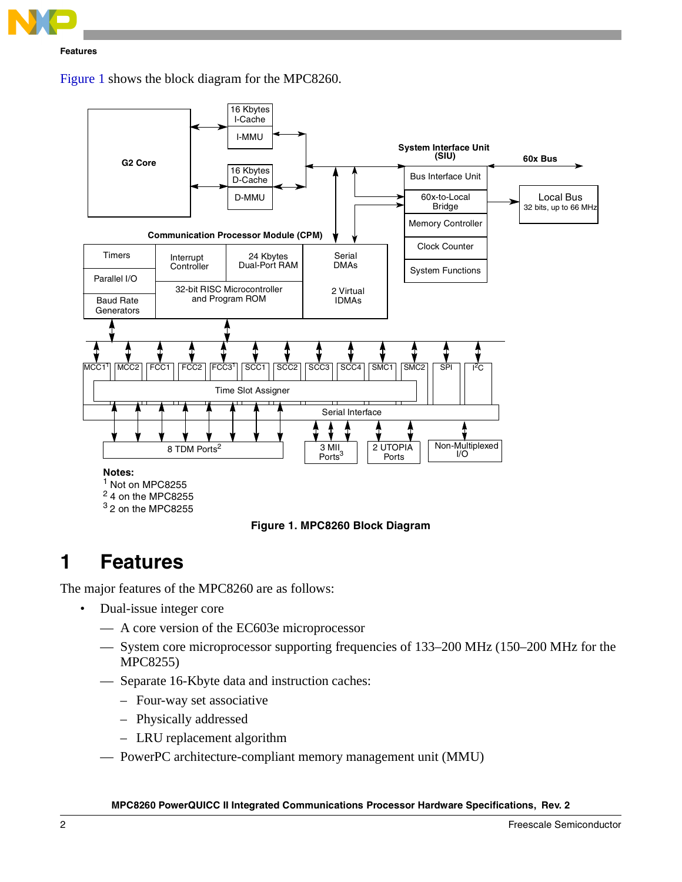

[Figure 1](#page-1-1) shows the block diagram for the MPC8260.



**Figure 1. MPC8260 Block Diagram**

# <span id="page-1-1"></span><span id="page-1-0"></span>**1 Features**

The major features of the MPC8260 are as follows:

- Dual-issue integer core
	- A core version of the EC603e microprocessor
	- System core microprocessor supporting frequencies of 133–200 MHz (150–200 MHz for the MPC8255)
	- Separate 16-Kbyte data and instruction caches:
		- Four-way set associative
		- Physically addressed
		- LRU replacement algorithm
	- PowerPC architecture-compliant memory management unit (MMU)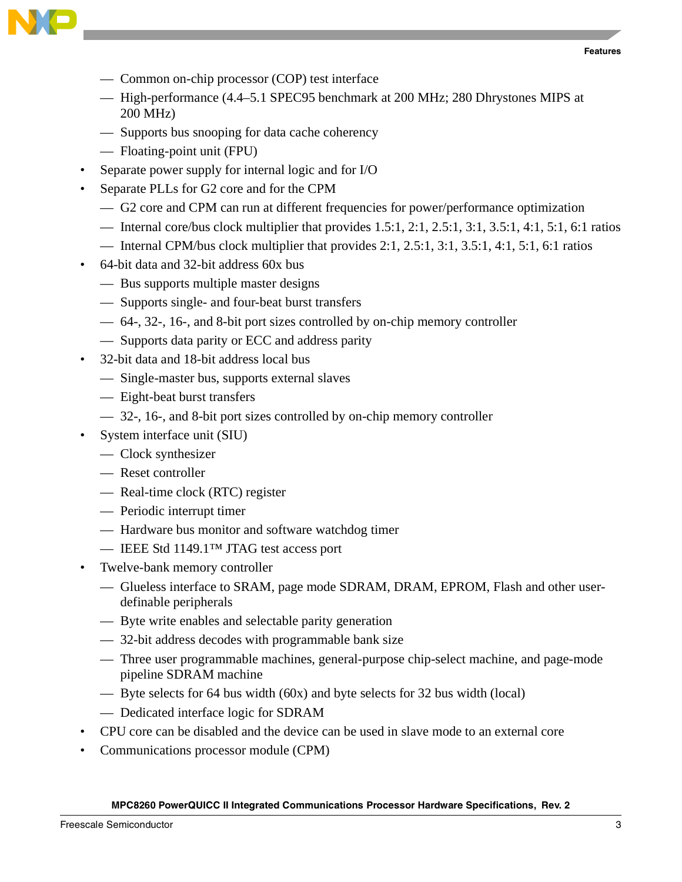



- Common on-chip processor (COP) test interface
- High-performance (4.4–5.1 SPEC95 benchmark at 200 MHz; 280 Dhrystones MIPS at 200 MHz)
- Supports bus snooping for data cache coherency
- Floating-point unit (FPU)
- Separate power supply for internal logic and for I/O
- Separate PLLs for G2 core and for the CPM
	- G2 core and CPM can run at different frequencies for power/performance optimization
	- Internal core/bus clock multiplier that provides  $1.5:1, 2:1, 2:5:1, 3:1, 3:5:1, 4:1, 5:1, 6:1$  ratios
	- Internal CPM/bus clock multiplier that provides  $2:1, 2.5:1, 3:1, 3.5:1, 4:1, 5:1, 6:1$  ratios
- 64-bit data and 32-bit address 60x bus
	- Bus supports multiple master designs
	- Supports single- and four-beat burst transfers
	- 64-, 32-, 16-, and 8-bit port sizes controlled by on-chip memory controller
	- Supports data parity or ECC and address parity
- 32-bit data and 18-bit address local bus
	- Single-master bus, supports external slaves
	- Eight-beat burst transfers
	- 32-, 16-, and 8-bit port sizes controlled by on-chip memory controller
- System interface unit (SIU)
	- Clock synthesizer
	- Reset controller
	- Real-time clock (RTC) register
	- Periodic interrupt timer
	- Hardware bus monitor and software watchdog timer
	- IEEE Std 1149.1™ JTAG test access port
- Twelve-bank memory controller
	- Glueless interface to SRAM, page mode SDRAM, DRAM, EPROM, Flash and other userdefinable peripherals
	- Byte write enables and selectable parity generation
	- 32-bit address decodes with programmable bank size
	- Three user programmable machines, general-purpose chip-select machine, and page-mode pipeline SDRAM machine
	- Byte selects for 64 bus width (60x) and byte selects for 32 bus width (local)
	- Dedicated interface logic for SDRAM
- CPU core can be disabled and the device can be used in slave mode to an external core
- Communications processor module (CPM)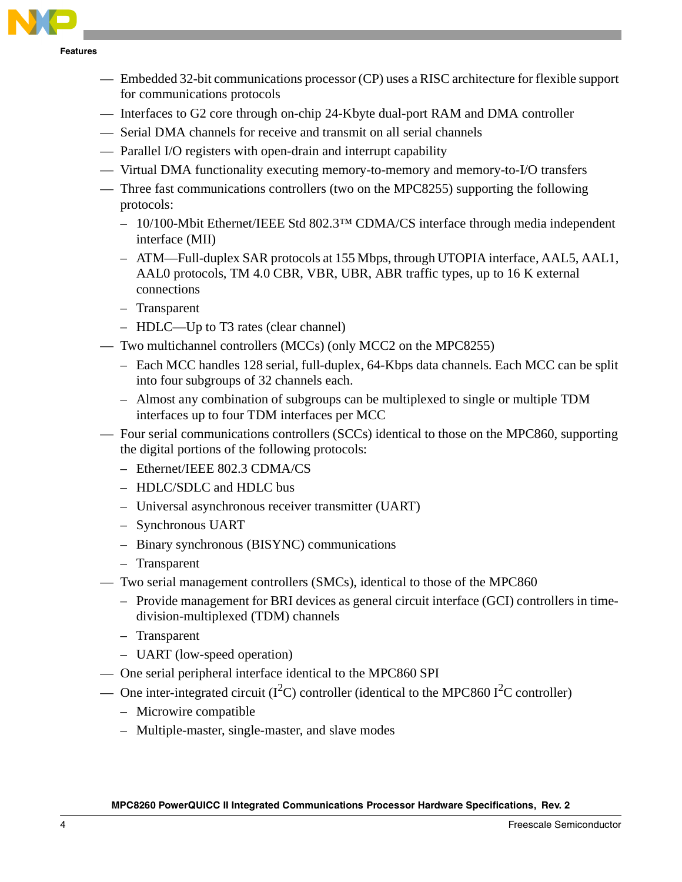

**Features**

- Embedded 32-bit communications processor (CP) uses a RISC architecture for flexible support for communications protocols
- Interfaces to G2 core through on-chip 24-Kbyte dual-port RAM and DMA controller
- Serial DMA channels for receive and transmit on all serial channels
- Parallel I/O registers with open-drain and interrupt capability
- Virtual DMA functionality executing memory-to-memory and memory-to-I/O transfers
- Three fast communications controllers (two on the MPC8255) supporting the following protocols:
	- 10/100-Mbit Ethernet/IEEE Std 802.3™ CDMA/CS interface through media independent interface (MII)
	- ATM—Full-duplex SAR protocols at 155 Mbps, through UTOPIA interface, AAL5, AAL1, AAL0 protocols, TM 4.0 CBR, VBR, UBR, ABR traffic types, up to 16 K external connections
	- Transparent
	- HDLC—Up to T3 rates (clear channel)
- Two multichannel controllers (MCCs) (only MCC2 on the MPC8255)
	- Each MCC handles 128 serial, full-duplex, 64-Kbps data channels. Each MCC can be split into four subgroups of 32 channels each.
	- Almost any combination of subgroups can be multiplexed to single or multiple TDM interfaces up to four TDM interfaces per MCC
- Four serial communications controllers (SCCs) identical to those on the MPC860, supporting the digital portions of the following protocols:
	- Ethernet/IEEE 802.3 CDMA/CS
	- HDLC/SDLC and HDLC bus
	- Universal asynchronous receiver transmitter (UART)
	- Synchronous UART
	- Binary synchronous (BISYNC) communications
	- Transparent
- Two serial management controllers (SMCs), identical to those of the MPC860
	- Provide management for BRI devices as general circuit interface (GCI) controllers in timedivision-multiplexed (TDM) channels
	- Transparent
	- UART (low-speed operation)
- One serial peripheral interface identical to the MPC860 SPI
- One inter-integrated circuit ( $I^2C$ ) controller (identical to the MPC860  $I^2C$  controller)
	- Microwire compatible
	- Multiple-master, single-master, and slave modes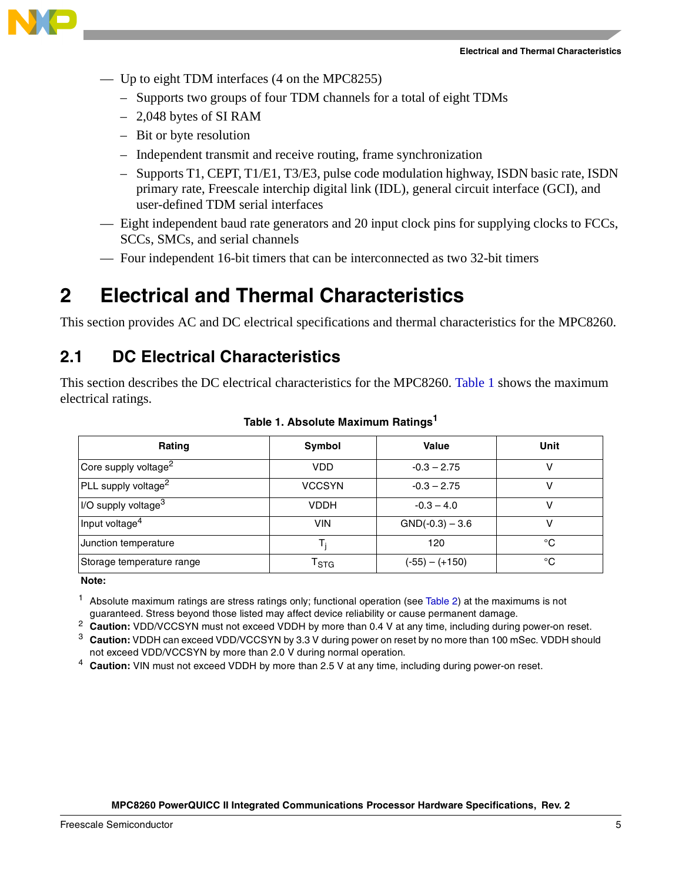

- Up to eight TDM interfaces (4 on the MPC8255)
	- Supports two groups of four TDM channels for a total of eight TDMs
	- 2,048 bytes of SI RAM
	- Bit or byte resolution
	- Independent transmit and receive routing, frame synchronization
	- Supports T1, CEPT, T1/E1, T3/E3, pulse code modulation highway, ISDN basic rate, ISDN primary rate, Freescale interchip digital link (IDL), general circuit interface (GCI), and user-defined TDM serial interfaces
- Eight independent baud rate generators and 20 input clock pins for supplying clocks to FCCs, SCCs, SMCs, and serial channels
- Four independent 16-bit timers that can be interconnected as two 32-bit timers

<span id="page-4-0"></span>This section provides AC and DC electrical specifications and thermal characteristics for the MPC8260.

# **2.1 DC Electrical Characteristics**

This section describes the DC electrical characteristics for the MPC8260. [Table 1](#page-4-1) shows the maximum electrical ratings.

<span id="page-4-1"></span>

| Rating                                     | Symbol                          | Value             | Unit |
|--------------------------------------------|---------------------------------|-------------------|------|
| Core supply voltage <sup>2</sup>           | <b>VDD</b>                      | $-0.3 - 2.75$     |      |
| PLL supply voltage <sup>2</sup>            | <b>VCCSYN</b>                   | $-0.3 - 2.75$     |      |
| $\sqrt{ }$ I/O supply voltage <sup>3</sup> | <b>VDDH</b>                     | $-0.3 - 4.0$      |      |
| Input voltage <sup>4</sup>                 | <b>VIN</b>                      | $GND(-0.3) - 3.6$ |      |
| Junction temperature                       |                                 | 120               | °C   |
| Storage temperature range                  | $T_{\footnotesize{\text{STG}}}$ | $(-55) - (+150)$  | °€   |

### **Table 1. Absolute Maximum Ratings<sup>1</sup>**

**Note:** 

 $1$  Absolute maximum ratings are stress ratings only; functional operation (see [Table 2](#page-5-0)) at the maximums is not guaranteed. Stress beyond those listed may affect device reliability or cause permanent damage.

<sup>2</sup> **Caution:** VDD/VCCSYN must not exceed VDDH by more than 0.4 V at any time, including during power-on reset.

<sup>3</sup> **Caution:** VDDH can exceed VDD/VCCSYN by 3.3 V during power on reset by no more than 100 mSec. VDDH should not exceed VDD/VCCSYN by more than 2.0 V during normal operation.

<sup>4</sup> **Caution:** VIN must not exceed VDDH by more than 2.5 V at any time, including during power-on reset.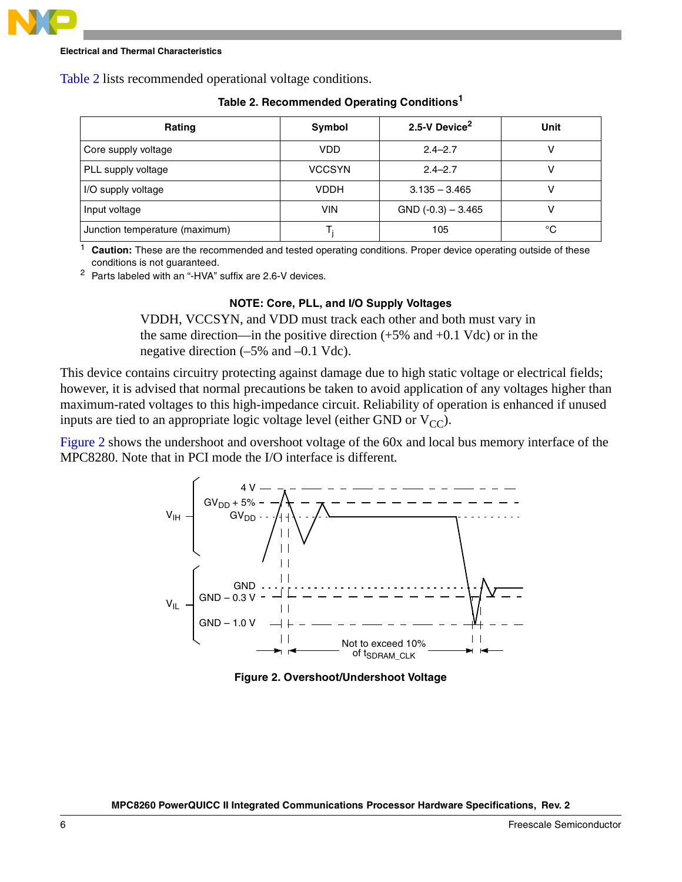

<span id="page-5-0"></span>[Table 2](#page-5-0) lists recommended operational voltage conditions.

| Rating                         | Symbol        | 2.5-V Device <sup>2</sup> | Unit |
|--------------------------------|---------------|---------------------------|------|
| Core supply voltage            | VDD           | $2.4 - 2.7$               |      |
| PLL supply voltage             | <b>VCCSYN</b> | $2.4 - 2.7$               |      |
| I/O supply voltage             | VDDH          | $3.135 - 3.465$           |      |
| Input voltage                  | <b>VIN</b>    | $GND (-0.3) - 3.465$      |      |
| Junction temperature (maximum) |               | 105                       | °C   |

### **Table 2. Recommended Operating Conditions<sup>1</sup>**

Caution: These are the recommended and tested operating conditions. Proper device operating outside of these conditions is not guaranteed.

<sup>2</sup> Parts labeled with an "-HVA" suffix are 2.6-V devices.

### **NOTE: Core, PLL, and I/O Supply Voltages**

VDDH, VCCSYN, and VDD must track each other and both must vary in the same direction—in the positive direction  $(+5\%$  and  $+0.1$  Vdc) or in the negative direction (–5% and –0.1 Vdc).

This device contains circuitry protecting against damage due to high static voltage or electrical fields; however, it is advised that normal precautions be taken to avoid application of any voltages higher than maximum-rated voltages to this high-impedance circuit. Reliability of operation is enhanced if unused inputs are tied to an appropriate logic voltage level (either GND or  $V_{CC}$ ).

[Figure 2](#page-5-1) shows the undershoot and overshoot voltage of the 60x and local bus memory interface of the MPC8280. Note that in PCI mode the I/O interface is different.



<span id="page-5-1"></span>**Figure 2. Overshoot/Undershoot Voltage**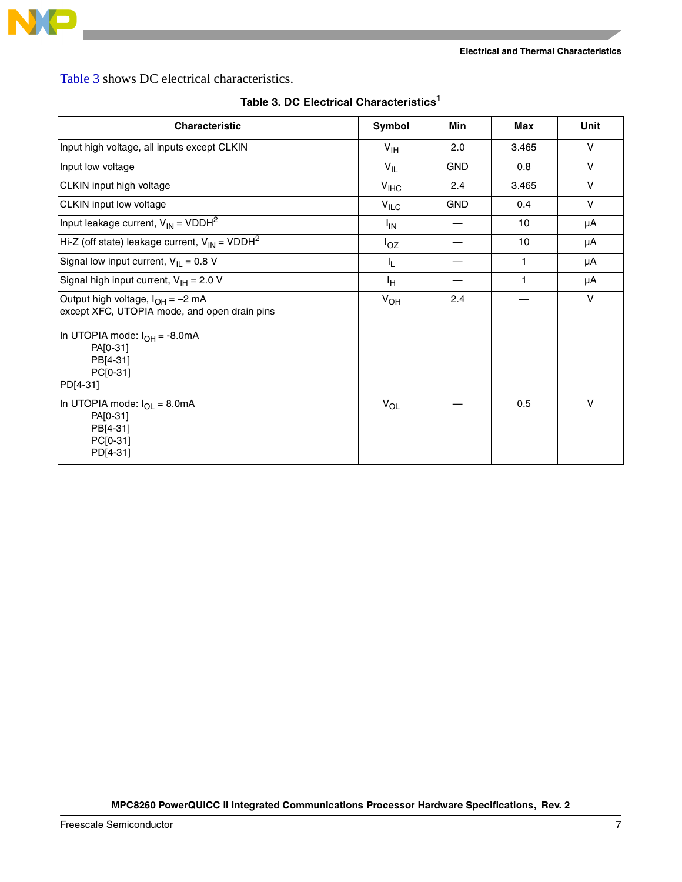

[Table 3](#page-6-0) shows DC electrical characteristics.

<span id="page-6-0"></span>

| <b>Characteristic</b>                                                                                                                                                              | Symbol           | Min        | Max   | Unit   |
|------------------------------------------------------------------------------------------------------------------------------------------------------------------------------------|------------------|------------|-------|--------|
| Input high voltage, all inputs except CLKIN                                                                                                                                        | $V_{\text{IH}}$  | 2.0        | 3.465 | V      |
| Input low voltage                                                                                                                                                                  | $V_{IL}$         | <b>GND</b> | 0.8   | V      |
| CLKIN input high voltage                                                                                                                                                           | V <sub>IHC</sub> | 2.4        | 3.465 | $\vee$ |
| CLKIN input low voltage                                                                                                                                                            | $V_{ILC}$        | <b>GND</b> | 0.4   | $\vee$ |
| Input leakage current, $V_{IN}$ = VDDH <sup>2</sup>                                                                                                                                | $I_{\text{IN}}$  |            | 10    | μA     |
| Hi-Z (off state) leakage current, $V_{IN}$ = VDDH <sup>2</sup>                                                                                                                     | $I_{OZ}$         |            | 10    | μA     |
| Signal low input current, $V_{IL} = 0.8 V$                                                                                                                                         | IL.              |            | 1.    | μA     |
| Signal high input current, $V_{\text{IH}} = 2.0 V$                                                                                                                                 | Iн               |            | 1     | μA     |
| Output high voltage, $I_{OH} = -2$ mA<br>except XFC, UTOPIA mode, and open drain pins<br>In UTOPIA mode: $I_{OH} = -8.0 \text{mA}$<br>PA[0-31]<br>PB[4-31]<br>PC[0-31]<br>PD[4-31] | $V_{OH}$         | 2.4        |       | $\vee$ |
| In UTOPIA mode: $I_{OI} = 8.0mA$<br>PA[0-31]<br>PB[4-31]<br>PC[0-31]<br>PD[4-31]                                                                                                   | $V_{OL}$         |            | 0.5   | $\vee$ |

**Table 3. DC Electrical Characteristics1**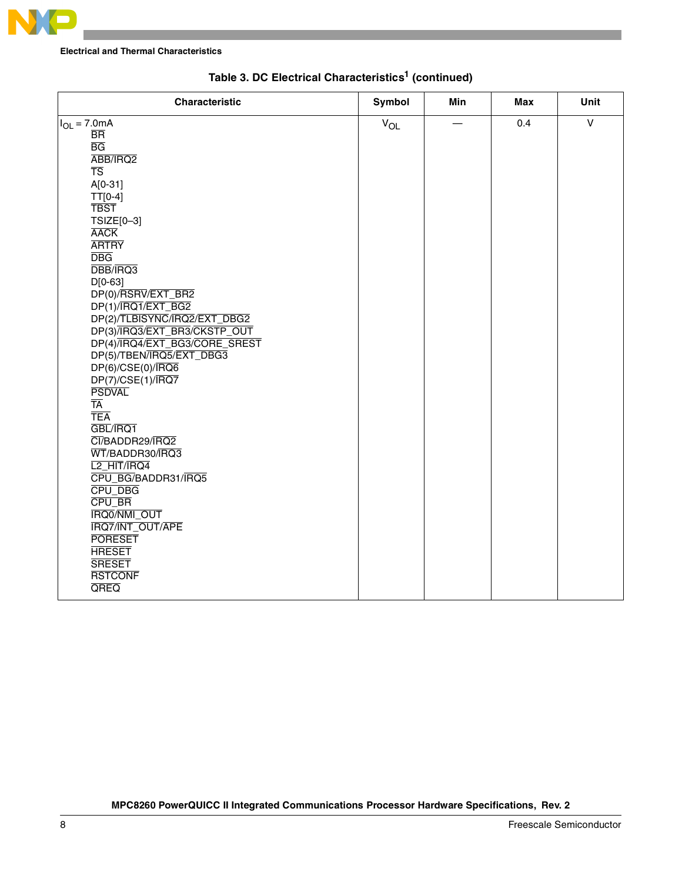

| <b>Characteristic</b>                                                                                                                                                                                                                                                                                                                                                                                                                                                                                                                                                                                                                                                                                                                                                | <b>Symbol</b> | Min | Max | Unit         |
|----------------------------------------------------------------------------------------------------------------------------------------------------------------------------------------------------------------------------------------------------------------------------------------------------------------------------------------------------------------------------------------------------------------------------------------------------------------------------------------------------------------------------------------------------------------------------------------------------------------------------------------------------------------------------------------------------------------------------------------------------------------------|---------------|-----|-----|--------------|
| $I_{OL} = 7.0mA$<br>$\overline{\text{BR}}$<br>$\overline{BG}$<br>ABB/IRQ2<br>$\overline{\text{TS}}$<br>$A[0-31]$<br>$TT[0-4]$<br><b>TBST</b><br>TSIZE[0-3]<br><b>AACK</b><br><b>ARTRY</b><br><b>DBG</b><br>DBB/IRQ3<br>$D[0-63]$<br>DP(0)/RSRV/EXT_BR2<br>DP(1)/IRQ1/EXT_BG2<br>DP(2)/TLBISYNC/IRQ2/EXT_DBG2<br>DP(3)/IRQ3/EXT_BR3/CKSTP_OUT<br>DP(4)/IRQ4/EXT_BG3/CORE_SREST<br>DP(5)/TBEN/IRQ5/EXT_DBG3<br>$DP(6)/CSE(0)/\overline{IRQ6}$<br>$DP(7)/CSE(1)/\overline{IRQ7}$<br><b>PSDVAL</b><br>TĀ<br><b>TEA</b><br>GBL/IRQ1<br>CI/BADDR29/IRQ2<br>WT/BADDR30/IRQ3<br>L <sub>2</sub> HIT/IRQ4<br>CPU_BG/BADDR31/IRQ5<br>CPU_DBG<br>CPU_BR<br>IRQ0/NMI_OUT<br><b>IRQ7/INT_OUT/APE</b><br><b>PORESET</b><br><b>HRESET</b><br><b>SRESET</b><br><b>RSTCONF</b><br>QREQ | $V_{OL}$      |     | 0.4 | $\mathsf{V}$ |
|                                                                                                                                                                                                                                                                                                                                                                                                                                                                                                                                                                                                                                                                                                                                                                      |               |     |     |              |

# **Table 3. DC Electrical Characteristics1 (continued)**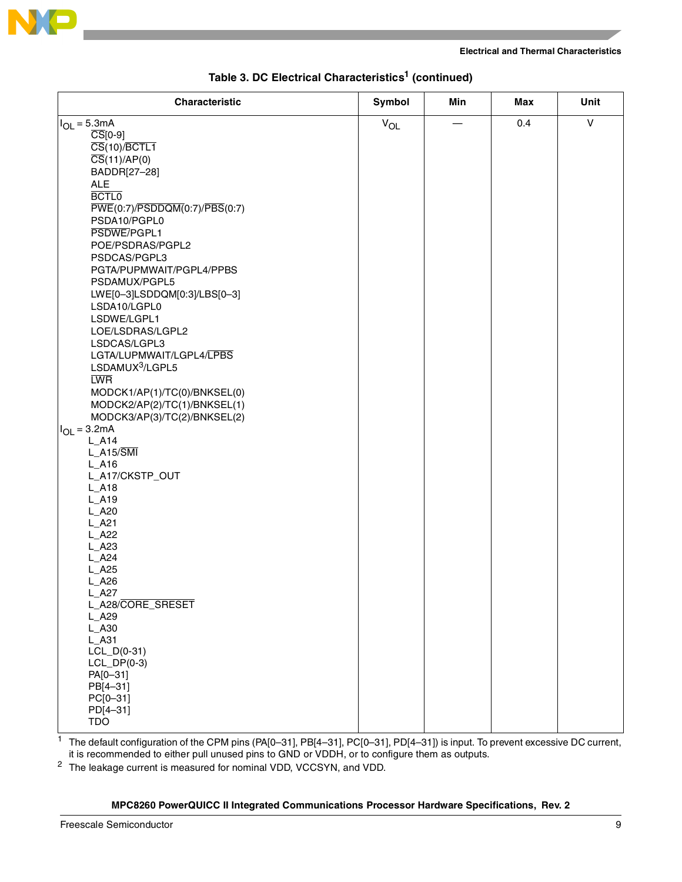

| <b>Characteristic</b>                              | Symbol   | Min | Max | Unit         |
|----------------------------------------------------|----------|-----|-----|--------------|
| $I_{OL} = 5.3mA$                                   | $V_{OL}$ |     | 0.4 | $\mathsf{V}$ |
| $\overline{CS}[0-9]$                               |          |     |     |              |
| $\overline{\text{CS}}(10)/\overline{\text{BCTL1}}$ |          |     |     |              |
| $\overline{CS}(11)/AP(0)$                          |          |     |     |              |
| BADDR[27-28]                                       |          |     |     |              |
| <b>ALE</b>                                         |          |     |     |              |
| <b>BCTL0</b>                                       |          |     |     |              |
| PWE(0:7)/PSDDQM(0:7)/PBS(0:7)                      |          |     |     |              |
| PSDA10/PGPL0                                       |          |     |     |              |
| PSDWE/PGPL1                                        |          |     |     |              |
| POE/PSDRAS/PGPL2                                   |          |     |     |              |
| PSDCAS/PGPL3                                       |          |     |     |              |
| PGTA/PUPMWAIT/PGPL4/PPBS                           |          |     |     |              |
| PSDAMUX/PGPL5                                      |          |     |     |              |
| LWE[0-3]LSDDQM[0:3]/LBS[0-3]                       |          |     |     |              |
| LSDA10/LGPL0                                       |          |     |     |              |
| LSDWE/LGPL1                                        |          |     |     |              |
| LOE/LSDRAS/LGPL2                                   |          |     |     |              |
| LSDCAS/LGPL3<br>LGTA/LUPMWAIT/LGPL4/LPBS           |          |     |     |              |
| LSDAMUX <sup>3</sup> /LGPL5                        |          |     |     |              |
| <b>LWR</b>                                         |          |     |     |              |
| MODCK1/AP(1)/TC(0)/BNKSEL(0)                       |          |     |     |              |
| MODCK2/AP(2)/TC(1)/BNKSEL(1)                       |          |     |     |              |
| MODCK3/AP(3)/TC(2)/BNKSEL(2)                       |          |     |     |              |
| $I_{OL} = 3.2mA$                                   |          |     |     |              |
| $L_A14$                                            |          |     |     |              |
| $L_A15/\overline{SMI}$                             |          |     |     |              |
| $L_A16$                                            |          |     |     |              |
| L_A17/CKSTP_OUT                                    |          |     |     |              |
| $L_A18$                                            |          |     |     |              |
| $L_A19$                                            |          |     |     |              |
| $L_A20$                                            |          |     |     |              |
| $L_A21$                                            |          |     |     |              |
| $L_A22$<br>$L_A23$                                 |          |     |     |              |
| $L_A24$                                            |          |     |     |              |
| $L_A25$                                            |          |     |     |              |
| $L_A26$                                            |          |     |     |              |
| $L_A27$                                            |          |     |     |              |
| L_A28/CORE_SRESET                                  |          |     |     |              |
| $L_A29$                                            |          |     |     |              |
| L_A30                                              |          |     |     |              |
| $L_A31$                                            |          |     |     |              |
| $LCL_D(0-31)$                                      |          |     |     |              |
| $LCL\_DP(0-3)$<br>PA[0-31]                         |          |     |     |              |
| PB[4-31]                                           |          |     |     |              |
| PC[0-31]                                           |          |     |     |              |
| PD[4-31]                                           |          |     |     |              |
| <b>TDO</b>                                         |          |     |     |              |
|                                                    |          |     |     |              |

# **Table 3. DC Electrical Characteristics1 (continued)**

<sup>1</sup> The default configuration of the CPM pins (PA[0–31], PB[4–31], PC[0–31], PD[4–31]) is input. To prevent excessive DC current, it is recommended to either pull unused pins to GND or VDDH, or to configure them as outputs.

<sup>2</sup> The leakage current is measured for nominal VDD, VCCSYN, and VDD.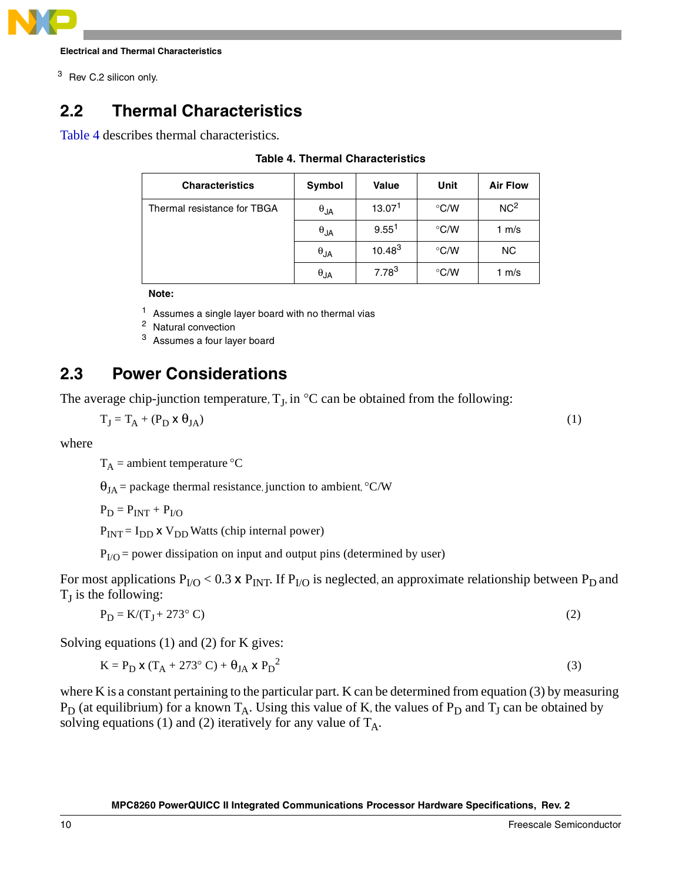

<sup>3</sup> Rev C.2 silicon only.

# **2.2 Thermal Characteristics**

<span id="page-9-0"></span>[Table 4](#page-9-0) describes thermal characteristics.

| <b>Characteristics</b>      | Symbol        | <b>Value</b>       | Unit          | <b>Air Flow</b> |
|-----------------------------|---------------|--------------------|---------------|-----------------|
| Thermal resistance for TBGA | $\theta_{JA}$ | 13.07 <sup>1</sup> | $\degree$ C/W | NC <sup>2</sup> |
|                             | $\theta_{JA}$ | 9.55 <sup>1</sup>  | $\degree$ C/W | 1 $m/s$         |
|                             | $\theta_{JA}$ | $10.48^{3}$        | $\degree$ C/W | NC.             |
|                             | $\theta$ JA   | $7.78^{3}$         | $\degree$ C/W | 1 $m/s$         |

## **Table 4. Thermal Characteristics**

**Note:** 

 $1$  Assumes a single layer board with no thermal vias

<sup>2</sup> Natural convection

<sup>3</sup> Assumes a four layer board

# **2.3 Power Considerations**

The average chip-junction temperature,  $T_J$ , in  $\mathrm{C}$  can be obtained from the following:

$$
T_J = T_A + (P_D \times \theta_{JA})
$$
 (1)

where

 $T_A$  = ambient temperature °C

 $\theta_{IA}$  = package thermal resistance, junction to ambient, °C/W

 $P_D = P_{INT} + P_{I/O}$ 

 $P_{INT} = I_{DD}$  x  $V_{DD}$  Watts (chip internal power)

 $P<sub>I/O</sub>$  = power dissipation on input and output pins (determined by user)

For most applications  $P_{I/O}$  < 0.3 x  $P_{INT}$ . If  $P_{I/O}$  is neglected, an approximate relationship between  $P_D$  and  $T_I$  is the following:

$$
P_D = K/(T_J + 273^\circ C) \tag{2}
$$

Solving equations (1) and (2) for K gives:

$$
K = P_D \times (T_A + 273^\circ C) + \theta_{JA} \times P_D^2
$$
 (3)

where K is a constant pertaining to the particular part. K can be determined from equation (3) by measuring  $P_D$  (at equilibrium) for a known  $T_A$ . Using this value of K, the values of  $P_D$  and  $T_J$  can be obtained by solving equations (1) and (2) iteratively for any value of  $T_A$ .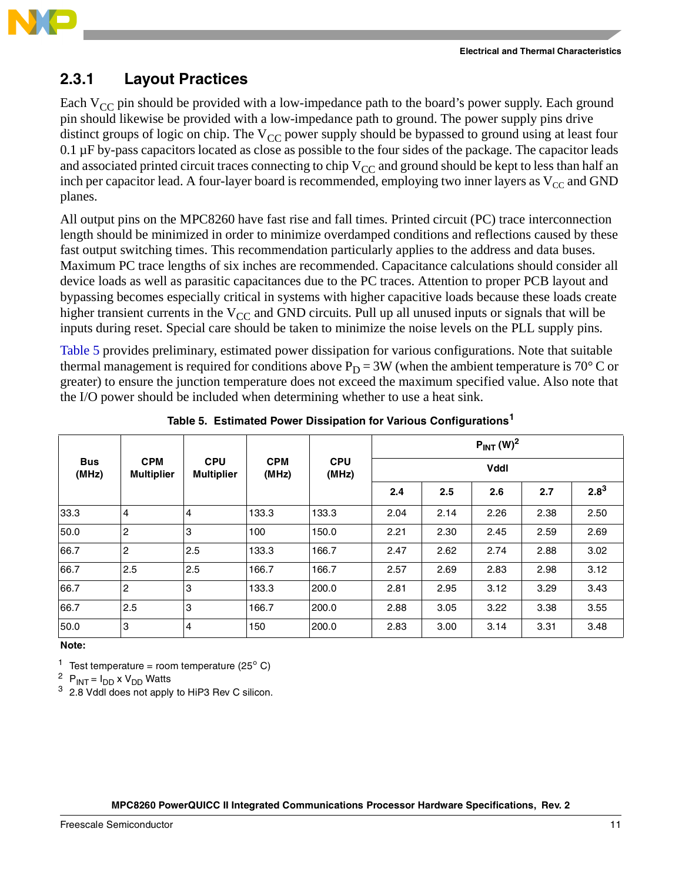

# **2.3.1 Layout Practices**

Each  $V_{CC}$  pin should be provided with a low-impedance path to the board's power supply. Each ground pin should likewise be provided with a low-impedance path to ground. The power supply pins drive distinct groups of logic on chip. The  $V_{CC}$  power supply should be bypassed to ground using at least four 0.1 µF by-pass capacitors located as close as possible to the four sides of the package. The capacitor leads and associated printed circuit traces connecting to chip  $V_{CC}$  and ground should be kept to less than half an inch per capacitor lead. A four-layer board is recommended, employing two inner layers as  $V_{CC}$  and GND planes.

All output pins on the MPC8260 have fast rise and fall times. Printed circuit (PC) trace interconnection length should be minimized in order to minimize overdamped conditions and reflections caused by these fast output switching times. This recommendation particularly applies to the address and data buses. Maximum PC trace lengths of six inches are recommended. Capacitance calculations should consider all device loads as well as parasitic capacitances due to the PC traces. Attention to proper PCB layout and bypassing becomes especially critical in systems with higher capacitive loads because these loads create higher transient currents in the  $V_{CC}$  and GND circuits. Pull up all unused inputs or signals that will be inputs during reset. Special care should be taken to minimize the noise levels on the PLL supply pins.

[Table 5](#page-10-0) provides preliminary, estimated power dissipation for various configurations. Note that suitable thermal management is required for conditions above  $P_D = 3W$  (when the ambient temperature is 70° C or greater) to ensure the junction temperature does not exceed the maximum specified value. Also note that the I/O power should be included when determining whether to use a heat sink.

<span id="page-10-0"></span>

|                     |                                 |                                 |                     | $P_{INT} (W)^2$     |             |      |      |      |           |
|---------------------|---------------------------------|---------------------------------|---------------------|---------------------|-------------|------|------|------|-----------|
| <b>Bus</b><br>(MHz) | <b>CPM</b><br><b>Multiplier</b> | <b>CPU</b><br><b>Multiplier</b> | <b>CPM</b><br>(MHz) | <b>CPU</b><br>(MHz) | <b>Vddl</b> |      |      |      |           |
|                     |                                 |                                 |                     |                     | 2.4         | 2.5  | 2.6  | 2.7  | $2.8^{3}$ |
| 33.3                | 4                               | $\overline{4}$                  | 133.3               | 133.3               | 2.04        | 2.14 | 2.26 | 2.38 | 2.50      |
| 50.0                | 2                               | 3                               | 100                 | 150.0               | 2.21        | 2.30 | 2.45 | 2.59 | 2.69      |
| 66.7                | $\overline{c}$                  | 2.5                             | 133.3               | 166.7               | 2.47        | 2.62 | 2.74 | 2.88 | 3.02      |
| 66.7                | 2.5                             | 2.5                             | 166.7               | 166.7               | 2.57        | 2.69 | 2.83 | 2.98 | 3.12      |
| 66.7                | $\overline{c}$                  | 3                               | 133.3               | 200.0               | 2.81        | 2.95 | 3.12 | 3.29 | 3.43      |
| 66.7                | 2.5                             | 3                               | 166.7               | 200.0               | 2.88        | 3.05 | 3.22 | 3.38 | 3.55      |
| 50.0                | 3                               | 4                               | 150                 | 200.0               | 2.83        | 3.00 | 3.14 | 3.31 | 3.48      |

**Table 5. Estimated Power Dissipation for Various Configurations<sup>1</sup>**

### **Note:**

<sup>1</sup> Test temperature = room temperature (25 $^{\circ}$  C)

<sup>2</sup> P<sub>INT</sub> =  $I_{DD}$  x V<sub>DD</sub> Watts

 $3\,$  2.8 Vddl does not apply to HiP3 Rev C silicon.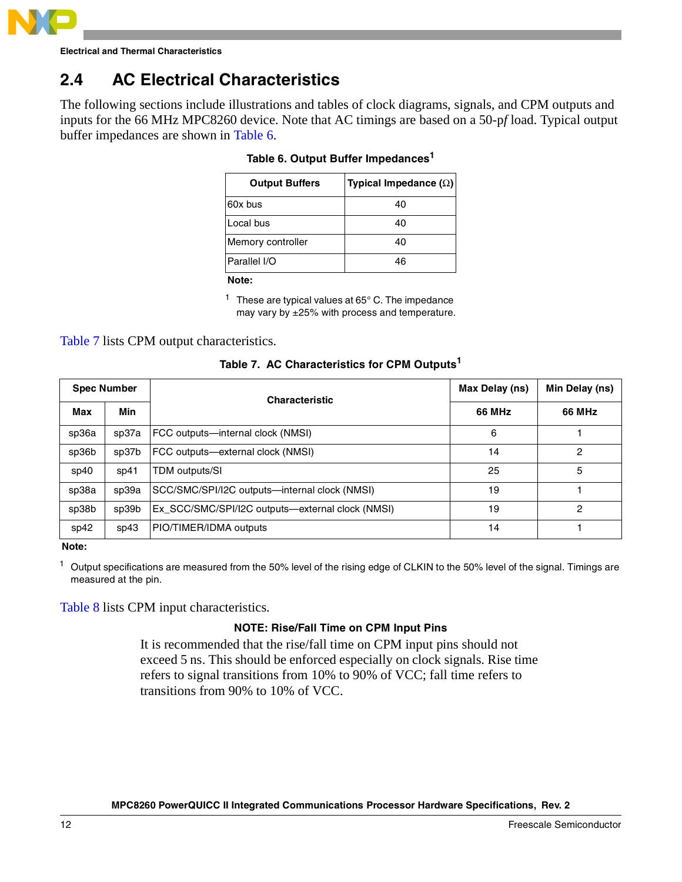

# **2.4 AC Electrical Characteristics**

<span id="page-11-0"></span>The following sections include illustrations and tables of clock diagrams, signals, and CPM outputs and inputs for the 66 MHz MPC8260 device. Note that AC timings are based on a 50-p*f* load. Typical output buffer impedances are shown in [Table 6.](#page-11-0)

| Typical Impedance $(\Omega)$ |
|------------------------------|
| 40                           |
| 40                           |
| 40                           |
| 46                           |
|                              |

|  |  | Table 6. Output Buffer Impedances <sup>1</sup> |
|--|--|------------------------------------------------|
|  |  |                                                |

**Note:** 

 $1$  These are typical values at 65 $^{\circ}$  C. The impedance may vary by ±25% with process and temperature.

## [Table 7](#page-11-1) lists CPM output characteristics.

|  | Table 7. AC Characteristics for CPM Outputs <sup>1</sup> |
|--|----------------------------------------------------------|
|  |                                                          |

<span id="page-11-1"></span>

| <b>Spec Number</b> |       | <b>Characteristic</b>                            | Max Delay (ns) | Min Delay (ns) |
|--------------------|-------|--------------------------------------------------|----------------|----------------|
| Max                | Min   |                                                  | <b>66 MHz</b>  | <b>66 MHz</b>  |
| sp36a              | sp37a | FCC outputs—internal clock (NMSI)                | 6              |                |
| sp36b              | sp37b | FCC outputs-external clock (NMSI)                | 14             | 2              |
| sp40               | SD41  | TDM outputs/SI                                   | 25             | 5              |
| sp38a              | sp39a | SCC/SMC/SPI/I2C outputs-internal clock (NMSI)    | 19             |                |
| sp38b              | sp39b | Ex_SCC/SMC/SPI/I2C outputs—external clock (NMSI) | 19             | 2              |
| sp42               | sp43  | PIO/TIMER/IDMA outputs                           | 14             |                |

**Note:** 

 $<sup>1</sup>$  Output specifications are measured from the 50% level of the rising edge of CLKIN to the 50% level of the signal. Timings are</sup> measured at the pin.

[Table 8](#page-12-0) lists CPM input characteristics.

## **NOTE: Rise/Fall Time on CPM Input Pins**

It is recommended that the rise/fall time on CPM input pins should not exceed 5 ns. This should be enforced especially on clock signals. Rise time refers to signal transitions from 10% to 90% of VCC; fall time refers to transitions from 90% to 10% of VCC.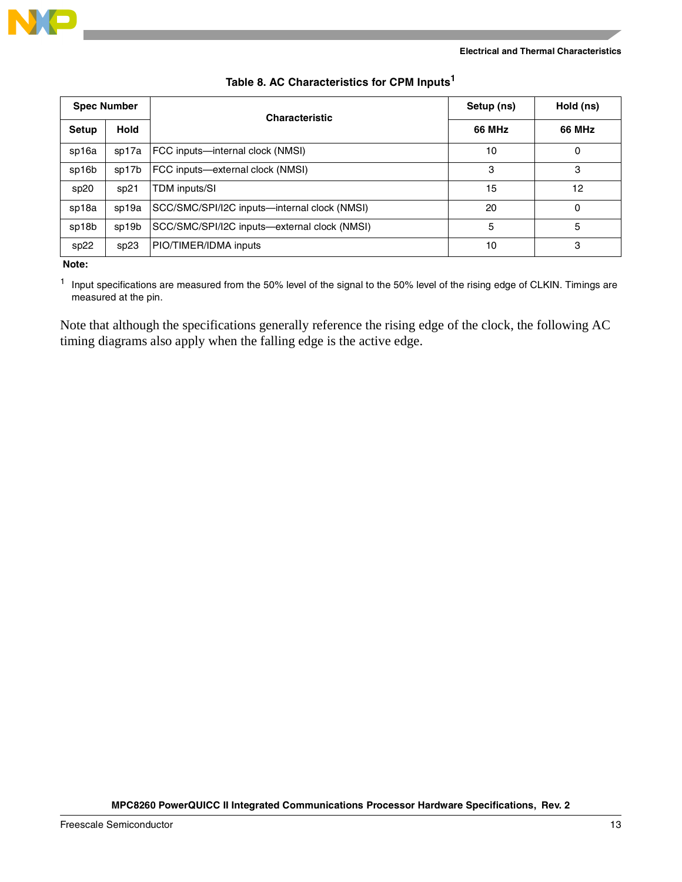

<span id="page-12-0"></span>

| <b>Spec Number</b> |             | <b>Characteristic</b>                        | Setup (ns)    | Hold (ns)     |
|--------------------|-------------|----------------------------------------------|---------------|---------------|
| Setup              | <b>Hold</b> |                                              | <b>66 MHz</b> | <b>66 MHz</b> |
| sp16a              | sp17a       | FCC inputs—internal clock (NMSI)             | 10            |               |
| sp16b              | sp17b       | FCC inputs-external clock (NMSI)             | 3             | 3             |
| sp20               | sp21        | TDM inputs/SI                                | 15            | 12            |
| sp18a              | sp19a       | SCC/SMC/SPI/I2C inputs-internal clock (NMSI) | 20            | 0             |
| sp18b              | sp19b       | SCC/SMC/SPI/I2C inputs-external clock (NMSI) | 5             | 5             |
| sp22               | sp23        | PIO/TIMER/IDMA inputs                        | 10            | 3             |

### **Table 8. AC Characteristics for CPM Inputs<sup>1</sup>**

**Note:** 

<sup>1</sup> Input specifications are measured from the 50% level of the signal to the 50% level of the rising edge of CLKIN. Timings are measured at the pin.

Note that although the specifications generally reference the rising edge of the clock, the following AC timing diagrams also apply when the falling edge is the active edge.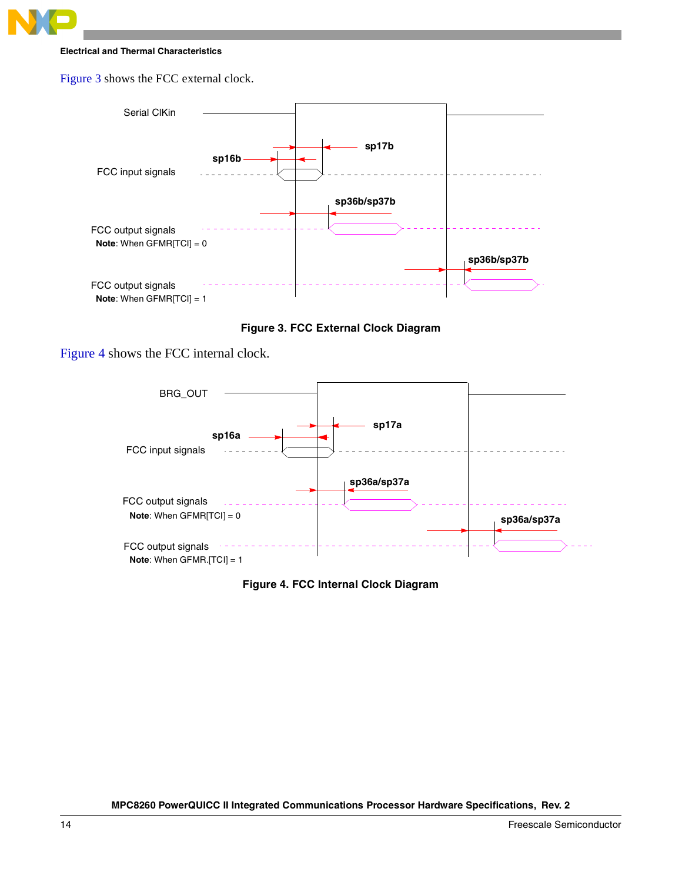

[Figure 3](#page-13-0) shows the FCC external clock.



**Figure 3. FCC External Clock Diagram** 

<span id="page-13-0"></span>[Figure 4](#page-13-1) shows the FCC internal clock.



<span id="page-13-1"></span>**Figure 4. FCC Internal Clock Diagram**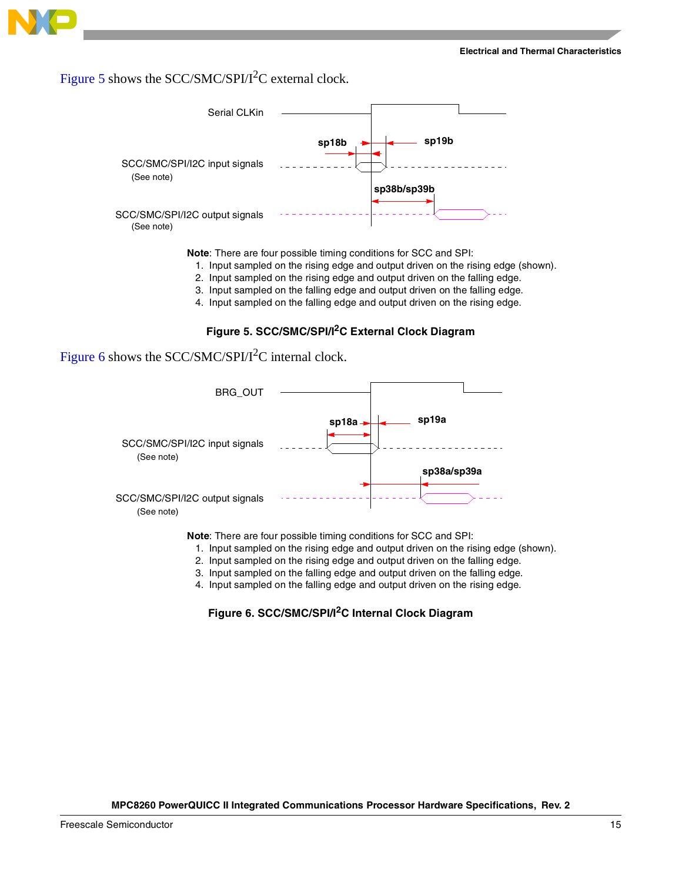

# [Figure 5](#page-14-0) shows the SCC/SMC/SPI/ $I^2C$  external clock.



**Note**: There are four possible timing conditions for SCC and SPI:

- 1. Input sampled on the rising edge and output driven on the rising edge (shown).
- 2. Input sampled on the rising edge and output driven on the falling edge.
- 3. Input sampled on the falling edge and output driven on the falling edge.
- 4. Input sampled on the falling edge and output driven on the rising edge.

### **Figure 5. SCC/SMC/SPI/I2C External Clock Diagram**

# <span id="page-14-0"></span>[Figure 6](#page-14-1) shows the SCC/SMC/SPI/ $I^2C$  internal clock.



**Note**: There are four possible timing conditions for SCC and SPI:

- 1. Input sampled on the rising edge and output driven on the rising edge (shown).
- 2. Input sampled on the rising edge and output driven on the falling edge.
- 3. Input sampled on the falling edge and output driven on the falling edge.
- <span id="page-14-1"></span>4. Input sampled on the falling edge and output driven on the rising edge.

## **Figure 6. SCC/SMC/SPI/I2C Internal Clock Diagram**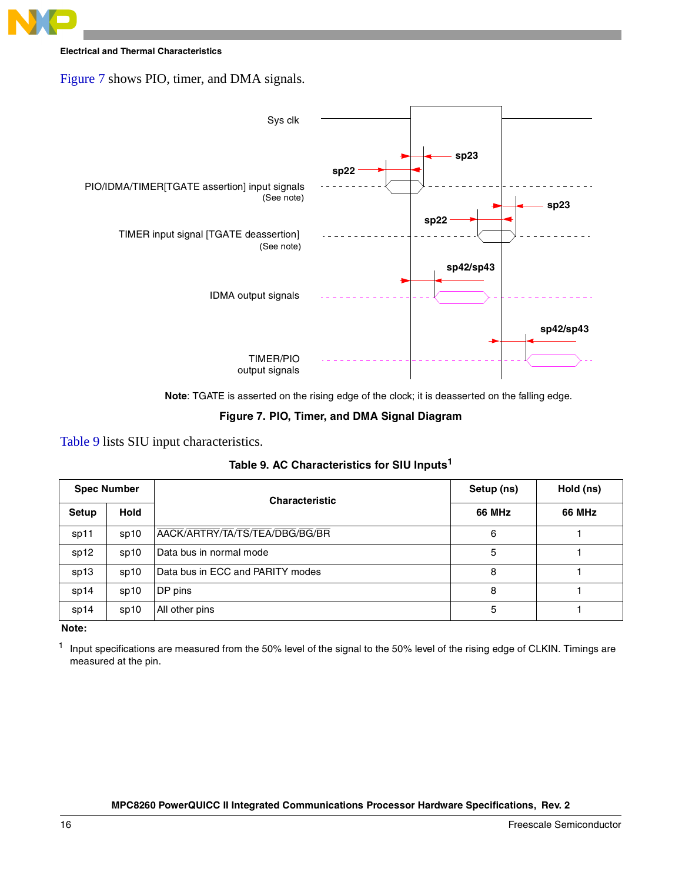

[Figure 7](#page-15-0) shows PIO, timer, and DMA signals.



**Note**: TGATE is asserted on the rising edge of the clock; it is deasserted on the falling edge.

### **Figure 7. PIO, Timer, and DMA Signal Diagram**

## <span id="page-15-0"></span>[Table 9](#page-15-1) lists SIU input characteristics.

| Table 9. AC Characteristics for SIU Inputs <sup>1</sup> |
|---------------------------------------------------------|
|---------------------------------------------------------|

<span id="page-15-1"></span>

| <b>Spec Number</b> |      | <b>Characteristic</b>            | Setup (ns) | Hold (ns)     |
|--------------------|------|----------------------------------|------------|---------------|
| Setup              | Hold |                                  | 66 MHz     | <b>66 MHz</b> |
| sp11               | sp10 | AACK/ARTRY/TA/TS/TEA/DBG/BG/BR   | 6          |               |
| sp12               | sp10 | l Data bus in normal mode        | 5          |               |
| sp13               | sp10 | Data bus in ECC and PARITY modes | 8          |               |
| sp14               | sp10 | DP pins                          | 8          |               |
| sp14               | sp10 | All other pins                   | 5          |               |

**Note:** 

<sup>1</sup> Input specifications are measured from the 50% level of the signal to the 50% level of the rising edge of CLKIN. Timings are measured at the pin.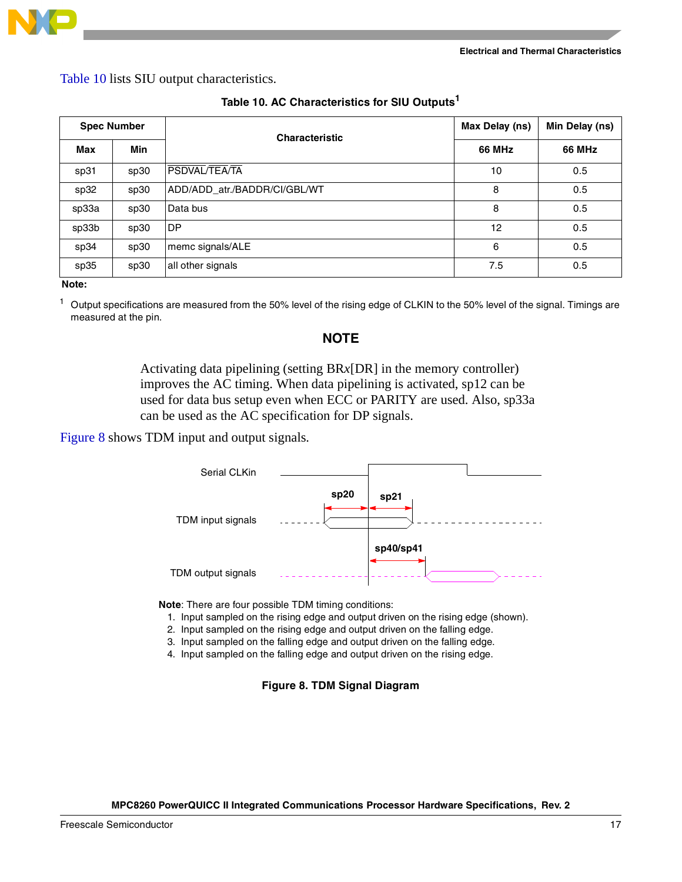

[Table 10](#page-16-0) lists SIU output characteristics.

<span id="page-16-0"></span>

| <b>Spec Number</b> |      | <b>Characteristic</b>        | Max Delay (ns) | Min Delay (ns) |
|--------------------|------|------------------------------|----------------|----------------|
| Max                | Min  |                              | <b>66 MHz</b>  | <b>66 MHz</b>  |
| sp31               | sp30 | PSDVAL/TEA/TA                | 10             | 0.5            |
| sp32               | sp30 | ADD/ADD_atr./BADDR/CI/GBL/WT | 8              | 0.5            |
| sp33a              | sp30 | Data bus                     | 8              | 0.5            |
| sp33b              | sp30 | <b>DP</b>                    | 12             | 0.5            |
| sp34               | sp30 | memc signals/ALE             | 6              | 0.5            |
| sp35               | sp30 | all other signals            | 7.5            | 0.5            |

### **Table 10. AC Characteristics for SIU Outputs<sup>1</sup>**

**Note:** 

<sup>1</sup> Output specifications are measured from the 50% level of the rising edge of CLKIN to the 50% level of the signal. Timings are measured at the pin.

## **NOTE**

Activating data pipelining (setting BR*x*[DR] in the memory controller) improves the AC timing. When data pipelining is activated, sp12 can be used for data bus setup even when ECC or PARITY are used. Also, sp33a can be used as the AC specification for DP signals.

[Figure 8](#page-16-1) shows TDM input and output signals.



**Note**: There are four possible TDM timing conditions:

- 1. Input sampled on the rising edge and output driven on the rising edge (shown).
- 2. Input sampled on the rising edge and output driven on the falling edge.
- 3. Input sampled on the falling edge and output driven on the falling edge.
- <span id="page-16-1"></span>4. Input sampled on the falling edge and output driven on the rising edge.

**Figure 8. TDM Signal Diagram**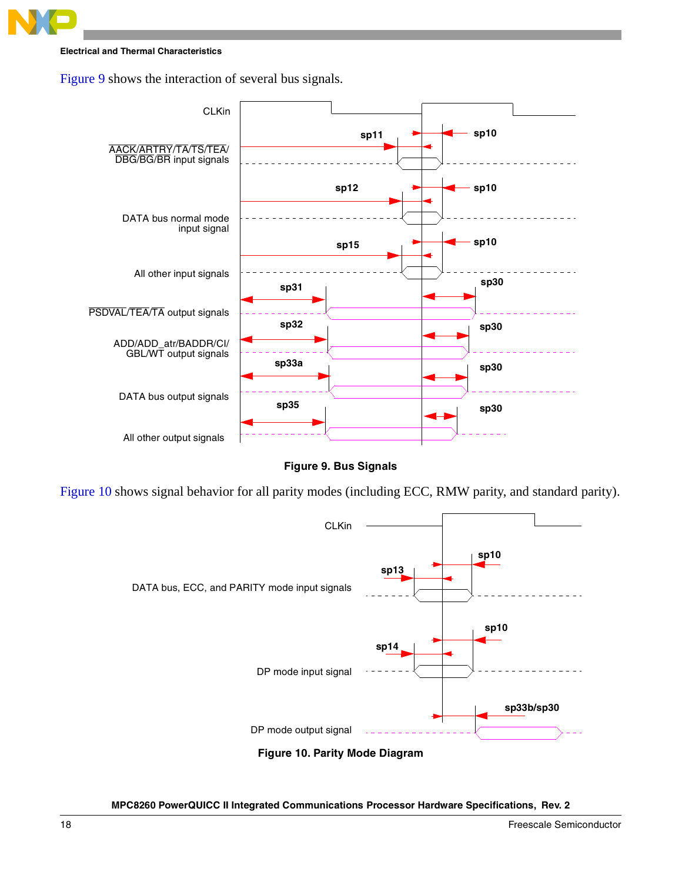

[Figure 9](#page-17-0) shows the interaction of several bus signals.



**Figure 9. Bus Signals**

<span id="page-17-0"></span>[Figure 10](#page-17-1) shows signal behavior for all parity modes (including ECC, RMW parity, and standard parity).

<span id="page-17-1"></span>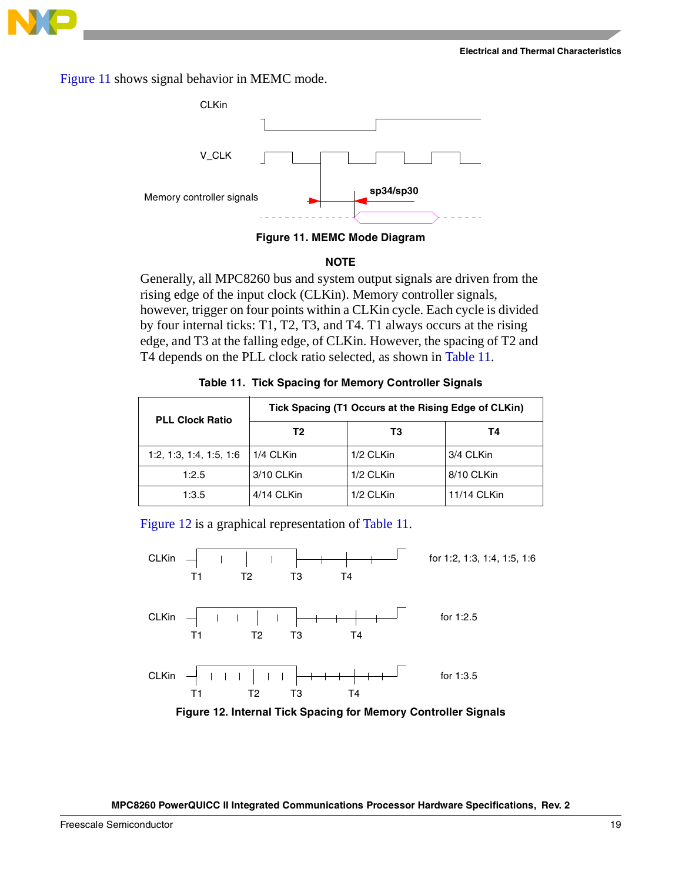

[Figure 11](#page-18-0) shows signal behavior in MEMC mode.



**Figure 11. MEMC Mode Diagram**

### **NOTE**

<span id="page-18-0"></span>Generally, all MPC8260 bus and system output signals are driven from the rising edge of the input clock (CLKin). Memory controller signals, however, trigger on four points within a CLKin cycle. Each cycle is divided by four internal ticks: T1, T2, T3, and T4. T1 always occurs at the rising edge, and T3 at the falling edge, of CLKin. However, the spacing of T2 and T4 depends on the PLL clock ratio selected, as shown in [Table 11.](#page-18-1)

<span id="page-18-1"></span>

| <b>PLL Clock Ratio</b>  | Tick Spacing (T1 Occurs at the Rising Edge of CLKin) |           |             |  |  |
|-------------------------|------------------------------------------------------|-----------|-------------|--|--|
|                         | Т2                                                   | T3        | Т4          |  |  |
| 1:2, 1:3, 1:4, 1:5, 1:6 | 1/4 CLKin                                            | 1/2 CLKin | 3/4 CLKin   |  |  |
| 1:2.5                   | 3/10 CLKin                                           | 1/2 CLKin | 8/10 CLKin  |  |  |
| 1:3.5                   | 4/14 CLKin                                           | 1/2 CLKin | 11/14 CLKin |  |  |

[Figure 12](#page-18-2) is a graphical representation of [Table 11](#page-18-1).



<span id="page-18-2"></span>**Figure 12. Internal Tick Spacing for Memory Controller Signals**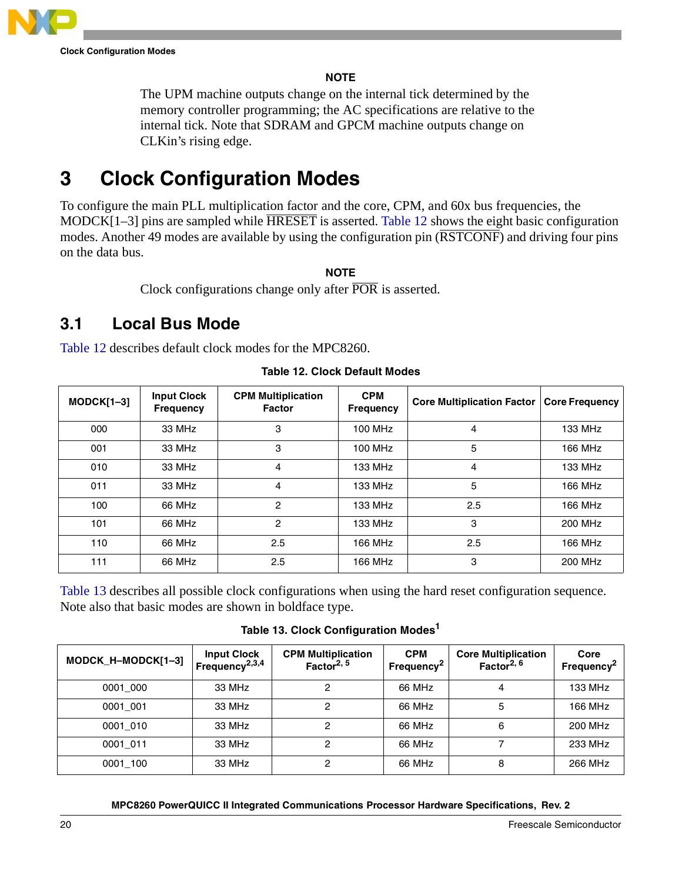

## **NOTE**

The UPM machine outputs change on the internal tick determined by the memory controller programming; the AC specifications are relative to the internal tick. Note that SDRAM and GPCM machine outputs change on CLKin's rising edge.

# <span id="page-19-0"></span>**3 Clock Configuration Modes**

To configure the main PLL multiplication factor and the core, CPM, and 60x bus frequencies, the MODCK[1–3] pins are sampled while HRESET is asserted. [Table 12](#page-19-1) shows the eight basic configuration modes. Another 49 modes are available by using the configuration pin ( $\overline{RSTCONF}$ ) and driving four pins on the data bus.

## **NOTE**

Clock configurations change only after POR is asserted.

# **3.1 Local Bus Mode**

[Table 12](#page-19-1) describes default clock modes for the MPC8260.

<span id="page-19-1"></span>

| $MODCK[1-3]$ | <b>Input Clock</b><br><b>Frequency</b> | <b>CPM Multiplication</b><br><b>Factor</b> | <b>CPM</b><br><b>Frequency</b> | <b>Core Multiplication Factor</b> | <b>Core Frequency</b> |
|--------------|----------------------------------------|--------------------------------------------|--------------------------------|-----------------------------------|-----------------------|
| 000          | 33 MHz                                 | 3                                          | 100 MHz                        | 4                                 | 133 MHz               |
| 001          | 33 MHz                                 | 3                                          | 100 MHz                        | 5                                 | 166 MHz               |
| 010          | 33 MHz                                 | 4                                          | 133 MHz                        | 4                                 | 133 MHz               |
| 011          | 33 MHz                                 | 4                                          | 133 MHz                        | 5                                 | 166 MHz               |
| 100          | 66 MHz                                 | 2                                          | 133 MHz                        | 2.5                               | 166 MHz               |
| 101          | 66 MHz                                 | $\overline{c}$                             | 133 MHz                        | 3                                 | 200 MHz               |
| 110          | 66 MHz                                 | 2.5                                        | 166 MHz                        | 2.5                               | 166 MHz               |
| 111          | 66 MHz                                 | 2.5                                        | 166 MHz                        | 3                                 | 200 MHz               |

**Table 12. Clock Default Modes**

[Table 13](#page-19-2) describes all possible clock configurations when using the hard reset configuration sequence. Note also that basic modes are shown in boldface type.

**Table 13. Clock Configuration Modes<sup>1</sup>**

<span id="page-19-2"></span>

| MODCK_H-MODCK[1-3] | <b>Input Clock</b><br>Frequency <sup>2,3,4</sup> | <b>CPM Multiplication</b><br>Factor <sup>2, 5</sup> | <b>CPM</b><br>Frequency <sup>2</sup> | <b>Core Multiplication</b><br>Factor <sup>2, 6</sup> | Core<br>Frequency <sup>2</sup> |
|--------------------|--------------------------------------------------|-----------------------------------------------------|--------------------------------------|------------------------------------------------------|--------------------------------|
| 0001 000           | 33 MHz                                           | 2                                                   | 66 MHz                               | 4                                                    | 133 MHz                        |
| 0001 001           | 33 MHz                                           | 2                                                   | 66 MHz                               | 5                                                    | 166 MHz                        |
| 0001 010           | 33 MHz                                           | 2                                                   | 66 MHz                               | 6                                                    | 200 MHz                        |
| 0001 011           | 33 MHz                                           | 2                                                   | 66 MHz                               |                                                      | 233 MHz                        |
| 0001 100           | 33 MHz                                           | 2                                                   | 66 MHz                               | 8                                                    | 266 MHz                        |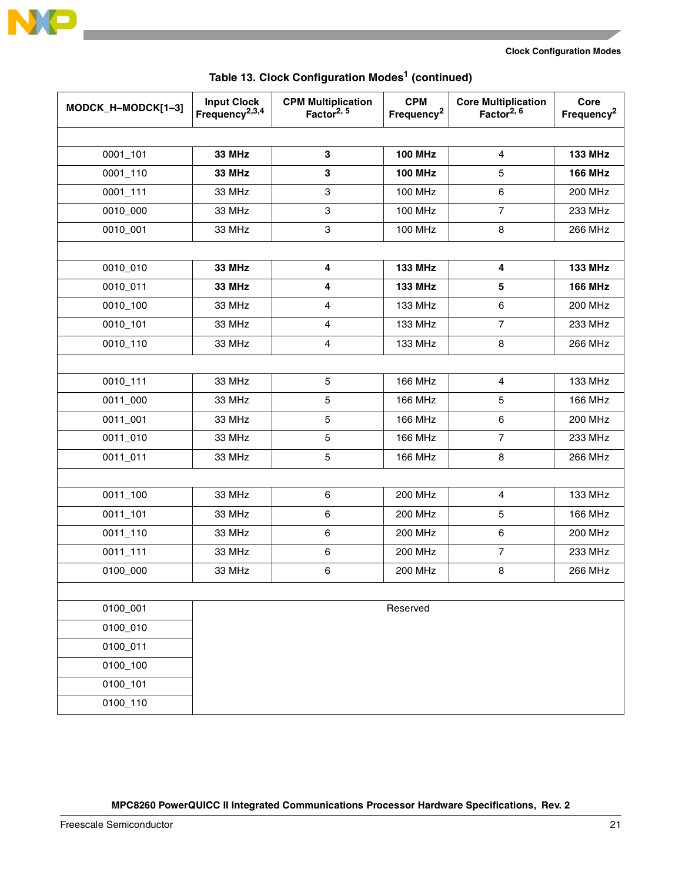

| MODCK_H-MODCK[1-3] | <b>Input Clock</b><br>Frequency <sup>2,3,4</sup> | <b>CPM Multiplication</b><br>Factor <sup>2, 5</sup> | <b>CPM</b><br>Frequency <sup>2</sup> | <b>Core Multiplication</b><br>Factor <sup>2, 6</sup> | Core<br>Frequency <sup>2</sup> |
|--------------------|--------------------------------------------------|-----------------------------------------------------|--------------------------------------|------------------------------------------------------|--------------------------------|
|                    |                                                  |                                                     |                                      |                                                      |                                |
| 0001_101           | <b>33 MHz</b>                                    | $\mathbf 3$                                         | <b>100 MHz</b>                       | $\overline{4}$                                       | <b>133 MHz</b>                 |
| 0001_110           | <b>33 MHz</b>                                    | 3                                                   | <b>100 MHz</b>                       | 5                                                    | <b>166 MHz</b>                 |
| 0001_111           | 33 MHz                                           | $\mathsf 3$                                         | 100 MHz                              | 6                                                    | <b>200 MHz</b>                 |
| 0010_000           | 33 MHz                                           | $\ensuremath{\mathsf{3}}$                           | <b>100 MHz</b>                       | $\overline{7}$                                       | 233 MHz                        |
| 0010_001           | 33 MHz                                           | $\ensuremath{\mathsf{3}}$                           | <b>100 MHz</b>                       | 8                                                    | 266 MHz                        |
|                    |                                                  |                                                     |                                      |                                                      |                                |
| 0010_010           | <b>33 MHz</b>                                    | 4                                                   | <b>133 MHz</b>                       | $\overline{\mathbf{4}}$                              | <b>133 MHz</b>                 |
| 0010_011           | <b>33 MHz</b>                                    | 4                                                   | <b>133 MHz</b>                       | 5                                                    | <b>166 MHz</b>                 |
| 0010_100           | 33 MHz                                           | $\overline{4}$                                      | 133 MHz                              | 6                                                    | <b>200 MHz</b>                 |
| 0010_101           | 33 MHz                                           | $\overline{\mathbf{4}}$                             | 133 MHz                              | $\overline{7}$                                       | 233 MHz                        |
| 0010_110           | 33 MHz                                           | $\overline{4}$                                      | 133 MHz                              | 8                                                    | 266 MHz                        |
|                    |                                                  |                                                     |                                      |                                                      |                                |
| 0010_111           | 33 MHz                                           | 5                                                   | 166 MHz                              | $\overline{4}$                                       | 133 MHz                        |
| 0011_000           | 33 MHz                                           | 5                                                   | 166 MHz                              | 5                                                    | <b>166 MHz</b>                 |
| 0011_001           | 33 MHz                                           | 5                                                   | 166 MHz                              | 6                                                    | <b>200 MHz</b>                 |
| 0011_010           | 33 MHz                                           | 5                                                   | <b>166 MHz</b>                       | $\overline{7}$                                       | 233 MHz                        |
| 0011_011           | 33 MHz                                           | $\mathbf 5$                                         | <b>166 MHz</b>                       | 8                                                    | 266 MHz                        |
|                    |                                                  |                                                     |                                      |                                                      |                                |
| $0011_100$         | 33 MHz                                           | $\,6\,$                                             | <b>200 MHz</b>                       | $\overline{4}$                                       | 133 MHz                        |
| 0011_101           | 33 MHz                                           | $\,6\,$                                             | 200 MHz                              | 5                                                    | 166 MHz                        |
| 0011_110           | 33 MHz                                           | 6                                                   | <b>200 MHz</b>                       | 6                                                    | <b>200 MHz</b>                 |
| 0011_111           | 33 MHz                                           | $\,6\,$                                             | 200 MHz                              | $\overline{7}$                                       | 233 MHz                        |
| 0100_000           | 33 MHz                                           | $\,6\,$                                             | <b>200 MHz</b>                       | 8                                                    | 266 MHz                        |
|                    |                                                  |                                                     |                                      |                                                      |                                |
| 0100_001           |                                                  |                                                     | Reserved                             |                                                      |                                |
| 0100_010           |                                                  |                                                     |                                      |                                                      |                                |
| 0100_011           |                                                  |                                                     |                                      |                                                      |                                |
| 0100_100           |                                                  |                                                     |                                      |                                                      |                                |
| 0100_101           |                                                  |                                                     |                                      |                                                      |                                |
| 0100_110           |                                                  |                                                     |                                      |                                                      |                                |

# **Table 13. Clock Configuration Modes1 (continued)**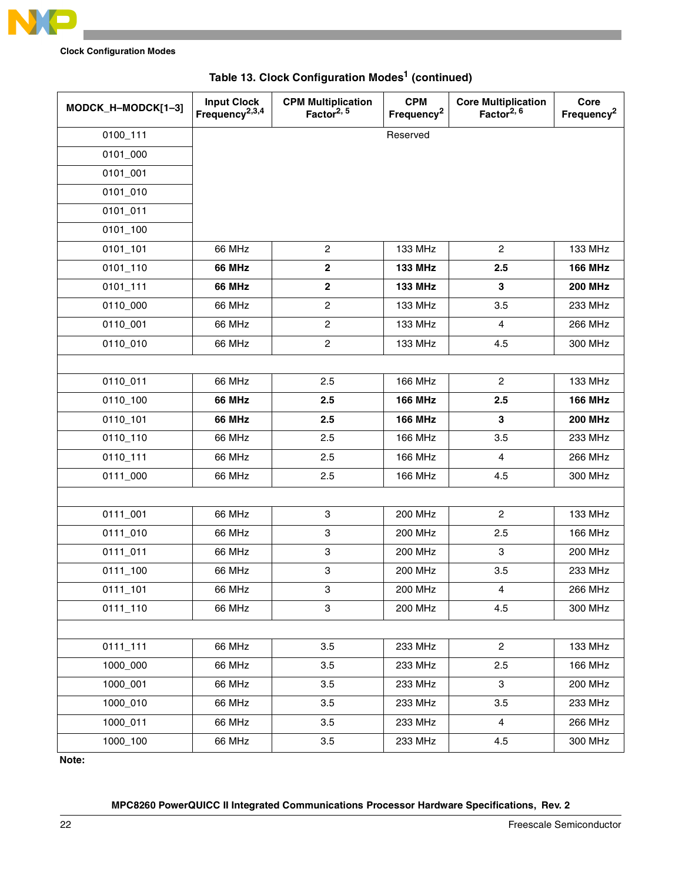

**Clock Configuration Modes**

| MODCK_H-MODCK[1-3] | <b>Input Clock</b><br>Frequency <sup>2,3,4</sup> | <b>CPM Multiplication</b><br>Factor <sup>2, 5</sup> | <b>CPM</b><br>Frequency <sup>2</sup> | <b>Core Multiplication</b><br>Factor <sup>2, 6</sup> | Core<br>Frequency <sup>2</sup> |
|--------------------|--------------------------------------------------|-----------------------------------------------------|--------------------------------------|------------------------------------------------------|--------------------------------|
| 0100_111           |                                                  |                                                     | Reserved                             |                                                      |                                |
| 0101_000           |                                                  |                                                     |                                      |                                                      |                                |
| 0101_001           |                                                  |                                                     |                                      |                                                      |                                |
| 0101_010           |                                                  |                                                     |                                      |                                                      |                                |
| 0101_011           |                                                  |                                                     |                                      |                                                      |                                |
| 0101_100           |                                                  |                                                     |                                      |                                                      |                                |
| 0101_101           | 66 MHz                                           | $\overline{c}$                                      | 133 MHz                              | $\overline{c}$                                       | 133 MHz                        |
| 0101_110           | <b>66 MHz</b>                                    | $\mathbf 2$                                         | <b>133 MHz</b>                       | 2.5                                                  | <b>166 MHz</b>                 |
| 0101_111           | <b>66 MHz</b>                                    | $\bf 2$                                             | <b>133 MHz</b>                       | 3                                                    | <b>200 MHz</b>                 |
| 0110_000           | 66 MHz                                           | $\boldsymbol{2}$                                    | 133 MHz                              | 3.5                                                  | 233 MHz                        |
| 0110_001           | 66 MHz                                           | $\overline{c}$                                      | 133 MHz                              | 4                                                    | 266 MHz                        |
| 0110_010           | 66 MHz                                           | $\overline{c}$                                      | 133 MHz                              | 4.5                                                  | 300 MHz                        |
|                    |                                                  |                                                     |                                      |                                                      |                                |
| 0110_011           | 66 MHz                                           | 2.5                                                 | <b>166 MHz</b>                       | $\overline{2}$                                       | 133 MHz                        |
| 0110_100           | <b>66 MHz</b>                                    | 2.5                                                 | <b>166 MHz</b>                       | 2.5                                                  | <b>166 MHz</b>                 |
| 0110_101           | <b>66 MHz</b>                                    | 2.5                                                 | <b>166 MHz</b>                       | $\mathbf 3$                                          | <b>200 MHz</b>                 |
| 0110_110           | 66 MHz                                           | 2.5                                                 | <b>166 MHz</b>                       | 3.5                                                  | 233 MHz                        |
| 0110_111           | 66 MHz                                           | 2.5                                                 | <b>166 MHz</b>                       | 4                                                    | 266 MHz                        |
| 0111_000           | 66 MHz                                           | 2.5                                                 | <b>166 MHz</b>                       | 4.5                                                  | 300 MHz                        |
|                    |                                                  |                                                     |                                      |                                                      |                                |
| 0111_001           | 66 MHz                                           | 3                                                   | 200 MHz                              | $\overline{c}$                                       | 133 MHz                        |
| 0111_010           | 66 MHz                                           | $\ensuremath{\mathsf{3}}$                           | <b>200 MHz</b>                       | 2.5                                                  | 166 MHz                        |
| 0111_011           | 66 MHz                                           | 3                                                   | <b>200 MHz</b>                       | 3                                                    | <b>200 MHz</b>                 |
| 0111_100           | 66 MHz                                           | 3                                                   | <b>200 MHz</b>                       | 3.5                                                  | 233 MHz                        |
| 0111_101           | 66 MHz                                           | 3                                                   | 200 MHz                              | $\overline{4}$                                       | 266 MHz                        |
| 0111_110           | 66 MHz                                           | 3                                                   | <b>200 MHz</b>                       | 4.5                                                  | 300 MHz                        |
|                    |                                                  |                                                     |                                      |                                                      |                                |
| 0111_111           | 66 MHz                                           | 3.5                                                 | 233 MHz                              | $\overline{c}$                                       | 133 MHz                        |
| 1000_000           | 66 MHz                                           | 3.5                                                 | 233 MHz                              | 2.5                                                  | 166 MHz                        |
| 1000_001           | 66 MHz                                           | 3.5                                                 | 233 MHz                              | 3                                                    | 200 MHz                        |
| 1000_010           | 66 MHz                                           | 3.5                                                 | 233 MHz                              | 3.5                                                  | 233 MHz                        |
| 1000_011           | 66 MHz                                           | 3.5                                                 | 233 MHz                              | $\overline{4}$                                       | 266 MHz                        |
| 1000_100           | 66 MHz                                           | 3.5                                                 | 233 MHz                              | 4.5                                                  | 300 MHz                        |

# **Table 13. Clock Configuration Modes1 (continued)**

**Note:**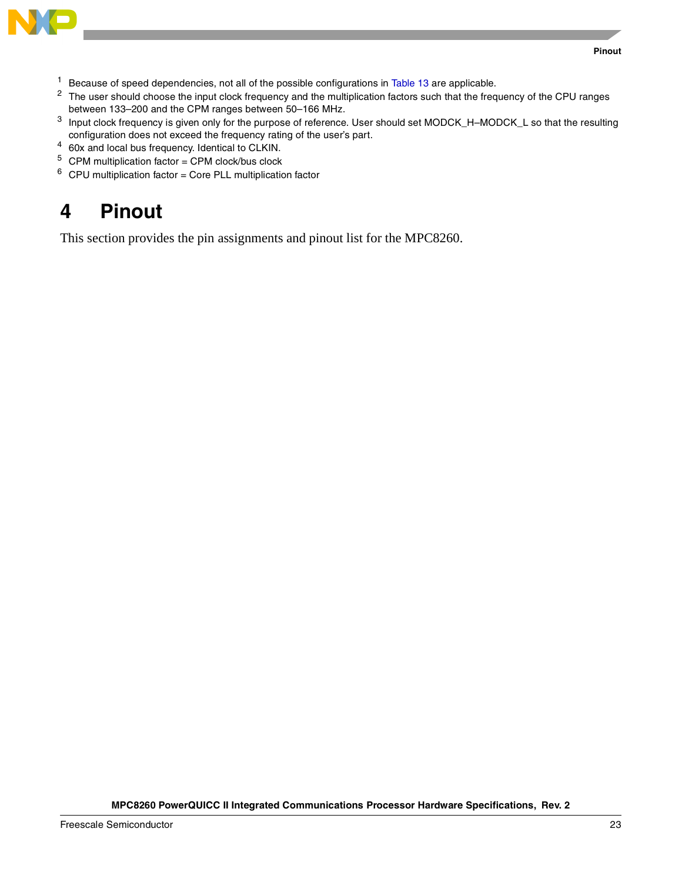

- <sup>1</sup> Because of speed dependencies, not all of the possible configurations in [Table 13](#page-19-2) are applicable.
- <sup>2</sup> The user should choose the input clock frequency and the multiplication factors such that the frequency of the CPU ranges between 133–200 and the CPM ranges between 50–166 MHz.
- <sup>3</sup> Input clock frequency is given only for the purpose of reference. User should set MODCK\_H–MODCK\_L so that the resulting configuration does not exceed the frequency rating of the user's part.
- <sup>4</sup> 60x and local bus frequency. Identical to CLKIN.
- $5$  CPM multiplication factor = CPM clock/bus clock
- <span id="page-22-0"></span> $6$  CPU multiplication factor = Core PLL multiplication factor

This section provides the pin assignments and pinout list for the MPC8260.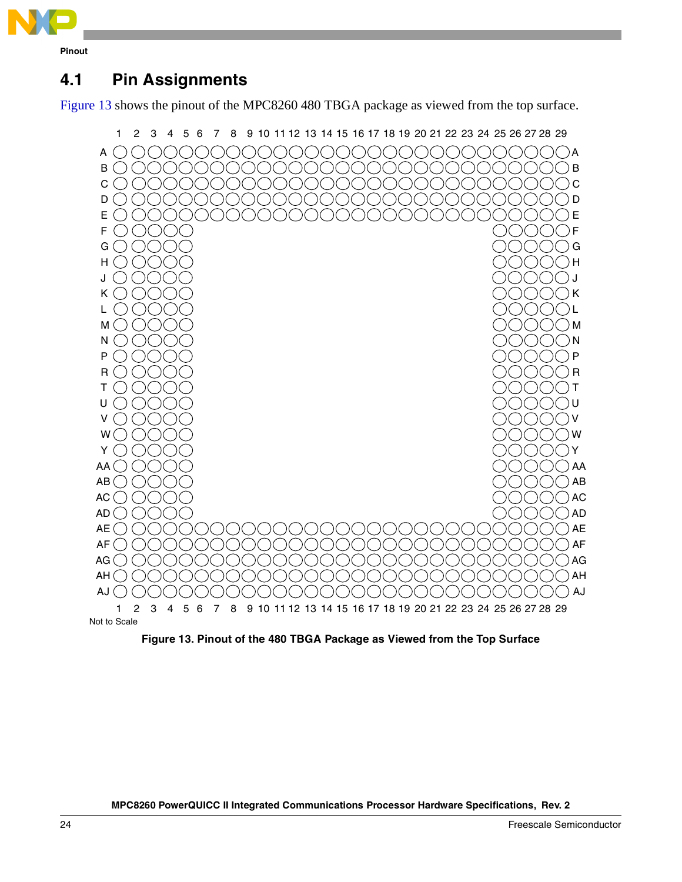

# **4.1 Pin Assignments**

[Figure 13](#page-23-0) shows the pinout of the MPC8260 480 TBGA package as viewed from the top surface.

<span id="page-23-0"></span>

**Figure 13. Pinout of the 480 TBGA Package as Viewed from the Top Surface**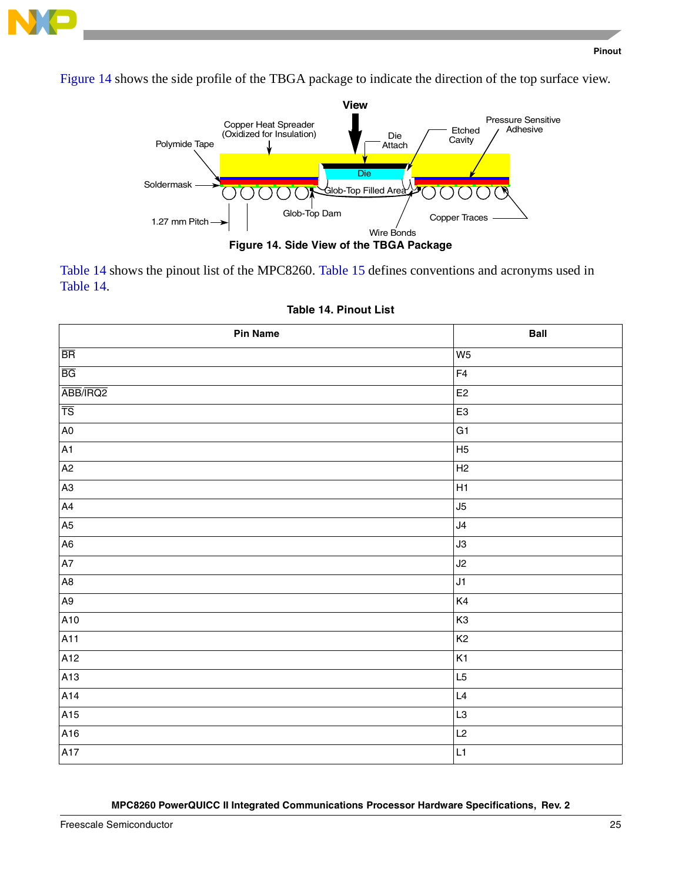

[Figure 14](#page-24-0) shows the side profile of the TBGA package to indicate the direction of the top surface view.



<span id="page-24-0"></span>[Table 14](#page-24-1) shows the pinout list of the MPC8260. [Table 15](#page-35-0) defines conventions and acronyms used in [Table 14.](#page-24-1)

<span id="page-24-1"></span>

| Pin Name               | <b>Ball</b>    |
|------------------------|----------------|
| $\overline{\text{BR}}$ | W <sub>5</sub> |
| $\overline{BG}$        | F4             |
| ABB/IRQ2               | E2             |
| $\overline{TS}$        | E <sub>3</sub> |
| $\mathsf{A0}$          | G1             |
| A1                     | H <sub>5</sub> |
| A2                     | H <sub>2</sub> |
| A3                     | H1             |
| A4                     | J5             |
| A5                     | J4             |
| A <sub>6</sub>         | J3             |
| A7                     | J2             |
| $\mathsf{A}8$          | J1             |
| A9                     | K4             |
| A10                    | K <sub>3</sub> |
| A <sub>11</sub>        | K <sub>2</sub> |
| A12                    | K <sub>1</sub> |
| A13                    | L5             |
| A14                    | $\mathsf{L}4$  |
| A15                    | L3             |
| A16                    | L2             |
| A17                    | L1             |

|  |  | Table 14. Pinout List |  |
|--|--|-----------------------|--|
|--|--|-----------------------|--|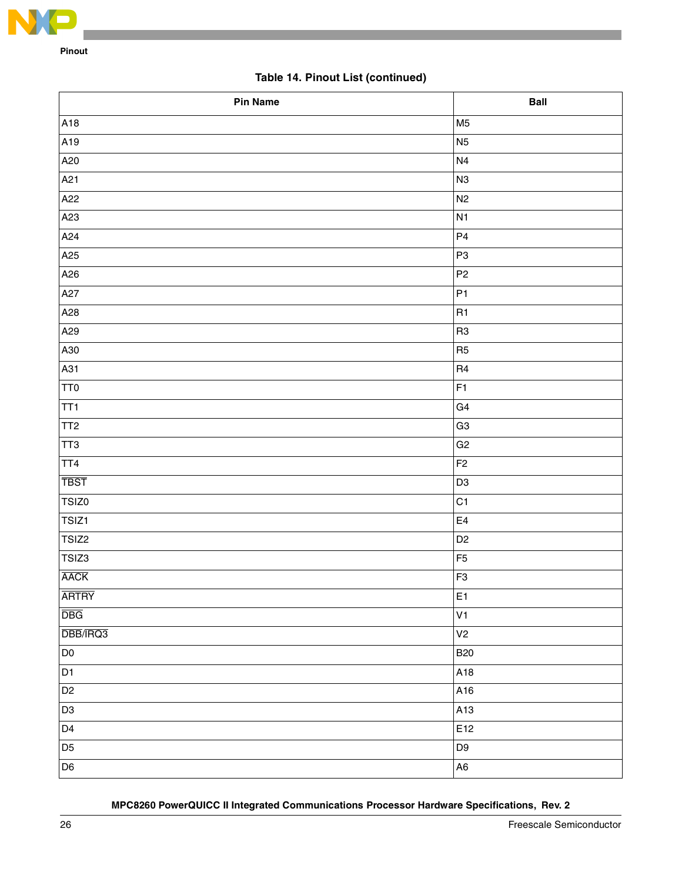

# **Table 14. Pinout List (continued)**

| <b>Pin Name</b> | <b>Ball</b>    |
|-----------------|----------------|
| A18             | M <sub>5</sub> |
| A19             | N <sub>5</sub> |
| A20             | N <sub>4</sub> |
| A21             | N <sub>3</sub> |
| A22             | N <sub>2</sub> |
| A23             | N <sub>1</sub> |
| A24             | P4             |
| A25             | P <sub>3</sub> |
| A26             | P <sub>2</sub> |
| A27             | P <sub>1</sub> |
| A28             | R <sub>1</sub> |
| A29             | R <sub>3</sub> |
| A30             | R <sub>5</sub> |
| A31             | R <sub>4</sub> |
| TT0             | F <sub>1</sub> |
| TT1             | G4             |
| TT <sub>2</sub> | G <sub>3</sub> |
| TT3             | G <sub>2</sub> |
| TT4             | F <sub>2</sub> |
| <b>TBST</b>     | D <sub>3</sub> |
| TSIZ0           | C <sub>1</sub> |
| TSIZ1           | $\mathsf{E}4$  |
| TSIZ2           | D <sub>2</sub> |
| TSIZ3           | F <sub>5</sub> |
| <b>AACK</b>     | F <sub>3</sub> |
| <b>ARTRY</b>    | E <sub>1</sub> |
| <b>DBG</b>      | V <sub>1</sub> |
| DBB/IRQ3        | V <sub>2</sub> |
| D <sub>0</sub>  | <b>B20</b>     |
| D <sub>1</sub>  | A18            |
| D <sub>2</sub>  | A16            |
| D <sub>3</sub>  | A13            |
| D <sub>4</sub>  | E12            |
| D <sub>5</sub>  | D9             |
| D <sub>6</sub>  | A6             |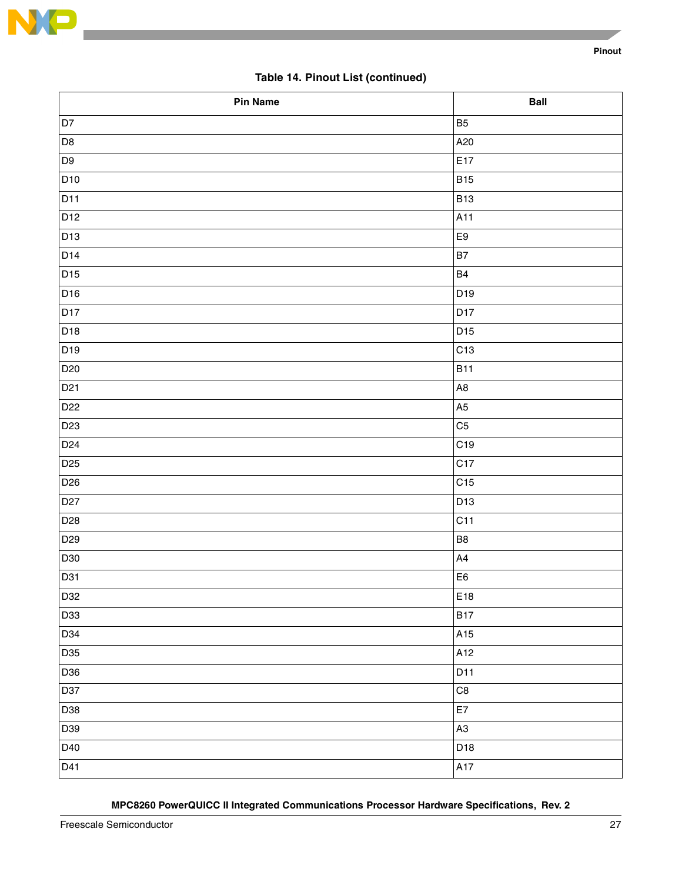

# **Table 14. Pinout List (continued)**

| Pin Name        | <b>Ball</b>    |
|-----------------|----------------|
| D7              | B <sub>5</sub> |
| D <sub>8</sub>  | A20            |
| D <sub>9</sub>  | E17            |
| D <sub>10</sub> | <b>B15</b>     |
| D11             | <b>B13</b>     |
| DI2             | A11            |
| D13             | E9             |
| D14             | <b>B7</b>      |
| D <sub>15</sub> | <b>B4</b>      |
| D <sub>16</sub> | D19            |
| D17             | D17            |
| D <sub>18</sub> | D15            |
| D19             | C13            |
| D <sub>20</sub> | <b>B11</b>     |
| D <sub>21</sub> | A <sub>8</sub> |
| D <sub>22</sub> | A <sub>5</sub> |
| D <sub>23</sub> | C <sub>5</sub> |
| D <sub>24</sub> | C19            |
| D <sub>25</sub> | C17            |
| D <sub>26</sub> | C15            |
| D <sub>27</sub> | D13            |
| D <sub>28</sub> | C11            |
| D <sub>29</sub> | B <sub>8</sub> |
| D30             | A4             |
| D31             | E <sub>6</sub> |
| D32             | E18            |
| D33             | <b>B17</b>     |
| D34             | A15            |
| D35             | A12            |
| D36             | D11            |
| D37             | $\mathbb{C}8$  |
| D38             | E7             |
| D39             | A <sub>3</sub> |
| D40             | D18            |
| D41             | A17            |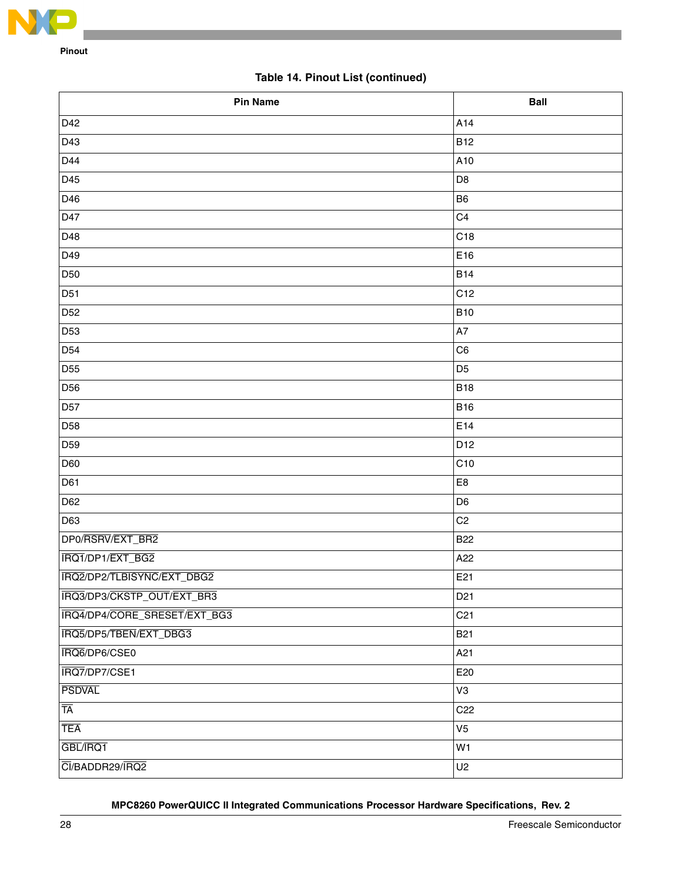

# **Table 14. Pinout List (continued)**

| <b>Pin Name</b>              | <b>Ball</b>     |
|------------------------------|-----------------|
| D42                          | A14             |
| D43                          | <b>B12</b>      |
| D44                          | A10             |
| D45                          | D <sub>8</sub>  |
| D46                          | B <sub>6</sub>  |
| D47                          | C <sub>4</sub>  |
| D48                          | C18             |
| D49                          | E16             |
| D <sub>50</sub>              | <b>B14</b>      |
| D51                          | C12             |
| D <sub>52</sub>              | <b>B10</b>      |
| D <sub>53</sub>              | A7              |
| D <sub>54</sub>              | C <sub>6</sub>  |
| D <sub>55</sub>              | D <sub>5</sub>  |
| D <sub>56</sub>              | <b>B18</b>      |
| D <sub>57</sub>              | <b>B16</b>      |
| D <sub>58</sub>              | E14             |
| D <sub>59</sub>              | D12             |
| D60                          | C <sub>10</sub> |
| D61                          | E8              |
| D62                          | D <sub>6</sub>  |
| D63                          | C <sub>2</sub>  |
| DP0/RSRV/EXT_BR2             | <b>B22</b>      |
| IRQ1/DP1/EXT_BG2             | A22             |
| IRQ2/DP2/TLBISYNC/EXT_DBG2   | E21             |
| IRQ3/DP3/CKSTP_OUT/EXT_BR3   | D <sub>21</sub> |
| IRQ4/DP4/CORE_SRESET/EXT_BG3 | C <sub>21</sub> |
| IRQ5/DP5/TBEN/EXT_DBG3       | <b>B21</b>      |
| IRQ6/DP6/CSE0                | A21             |
| IRQ7/DP7/CSE1                | E20             |
| <b>PSDVAL</b>                | V3              |
| TĀ                           | C <sub>22</sub> |
| TEA                          | V <sub>5</sub>  |
| GBL/IRQ1                     | W1              |
| CI/BADDR29/IRQ2              | U2              |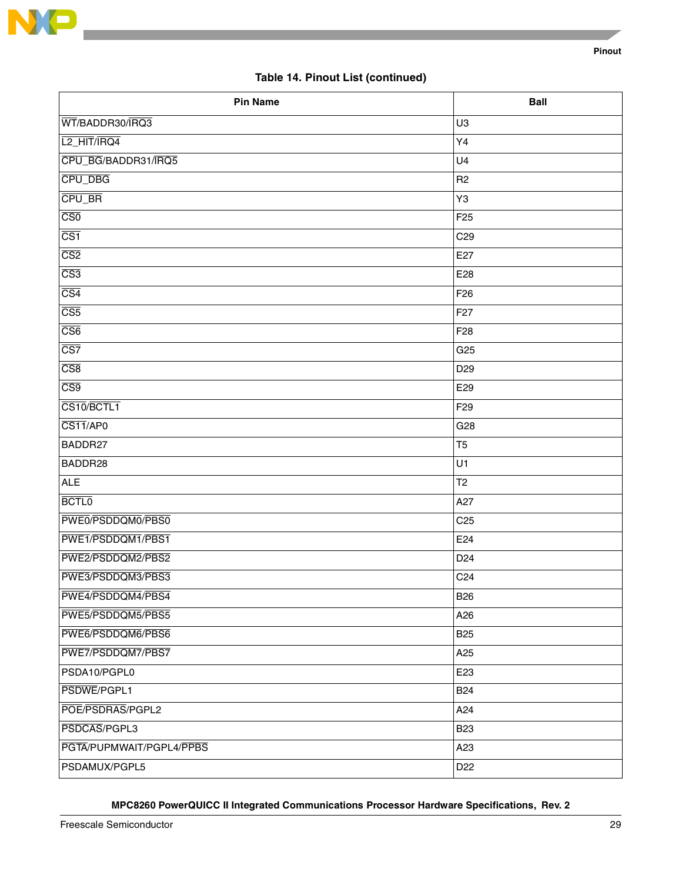

# **Table 14. Pinout List (continued)**

| <b>Pin Name</b>          | <b>Ball</b>     |
|--------------------------|-----------------|
| WT/BADDR30/IRQ3          | U <sub>3</sub>  |
| L <sub>2_HIT</sub> /IRQ4 | Y4              |
| CPU_BG/BADDR31/IRQ5      | U <sub>4</sub>  |
| CPU_DBG                  | R <sub>2</sub>  |
| CPU_BR                   | Y3              |
| $\overline{\text{CS0}}$  | F <sub>25</sub> |
| $\overline{\text{CS1}}$  | C <sub>29</sub> |
| $\overline{CS2}$         | E27             |
| $\overline{CS3}$         | E28             |
| $\overline{\text{CS4}}$  | F <sub>26</sub> |
| $\overline{\text{CS5}}$  | F <sub>27</sub> |
| $\overline{\text{CS6}}$  | F <sub>28</sub> |
| $\overline{\text{CS}7}$  | G <sub>25</sub> |
| $\overline{CS8}$         | D <sub>29</sub> |
| $\overline{\text{CS9}}$  | E29             |
| CS10/BCTL1               | F <sub>29</sub> |
| CS11/AP0                 | G28             |
| BADDR27                  | T <sub>5</sub>  |
| BADDR28                  | U1              |
| <b>ALE</b>               | T <sub>2</sub>  |
| <b>BCTL0</b>             | A27             |
| PWE0/PSDDQM0/PBS0        | C <sub>25</sub> |
| PWE1/PSDDQM1/PBS1        | E24             |
| PWE2/PSDDQM2/PBS2        | D <sub>24</sub> |
| PWE3/PSDDQM3/PBS3        | C <sub>24</sub> |
| PWE4/PSDDQM4/PBS4        | <b>B26</b>      |
| PWE5/PSDDQM5/PBS5        | A26             |
| PWE6/PSDDQM6/PBS6        | <b>B25</b>      |
| PWE7/PSDDQM7/PBS7        | A <sub>25</sub> |
| PSDA10/PGPL0             | E <sub>23</sub> |
| PSDWE/PGPL1              | <b>B24</b>      |
| POE/PSDRAS/PGPL2         | A24             |
| PSDCAS/PGPL3             | <b>B23</b>      |
| PGTA/PUPMWAIT/PGPL4/PPBS | A23             |
| PSDAMUX/PGPL5            | D <sub>22</sub> |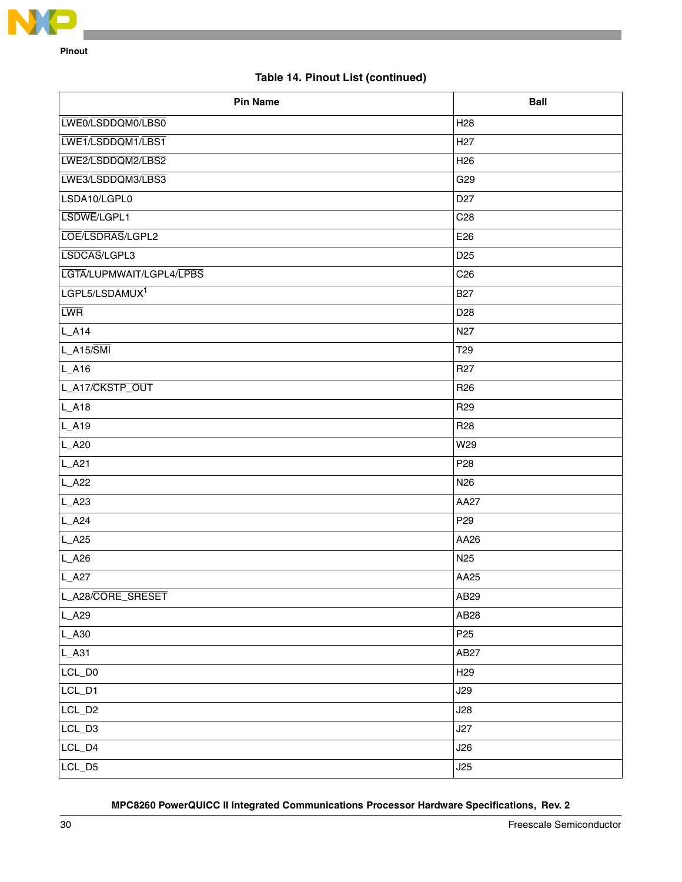

# **Table 14. Pinout List (continued)**

| <b>Pin Name</b>            | <b>Ball</b>      |
|----------------------------|------------------|
| LWE0/LSDDQM0/LBS0          | H <sub>28</sub>  |
| LWE1/LSDDQM1/LBS1          | H <sub>27</sub>  |
| LWE2/LSDDQM2/LBS2          | H <sub>26</sub>  |
| LWE3/LSDDQM3/LBS3          | G29              |
| LSDA10/LGPL0               | D <sub>27</sub>  |
| LSDWE/LGPL1                | C <sub>28</sub>  |
| LOE/LSDRAS/LGPL2           | E26              |
| LSDCAS/LGPL3               | D <sub>25</sub>  |
| LGTA/LUPMWAIT/LGPL4/LPBS   | C <sub>26</sub>  |
| LGPL5/LSDAMUX <sup>1</sup> | <b>B27</b>       |
| <b>LWR</b>                 | D <sub>28</sub>  |
| $L_A14$                    | N <sub>27</sub>  |
| $L_A15/\overline{SMI}$     | T <sub>29</sub>  |
| $L_A16$                    | R <sub>27</sub>  |
| L_A17/CKSTP_OUT            | R <sub>26</sub>  |
| L_A18                      | R <sub>29</sub>  |
| L_A19                      | R <sub>28</sub>  |
| L_A20                      | W29              |
| $L_A21$                    | P <sub>28</sub>  |
| $L_A22$                    | N <sub>26</sub>  |
| $L_A23$                    | AA27             |
| $L_A24$                    | P <sub>29</sub>  |
| $L_A25$                    | AA26             |
| $L_A26$                    | N <sub>25</sub>  |
| L_A27                      | AA25             |
| L_A28/CORE_SRESET          | AB29             |
| L_A29                      | AB <sub>28</sub> |
| $L_A30$                    | P <sub>25</sub>  |
| L_A31                      | AB27             |
| LCL_D0                     | H <sub>29</sub>  |
| LCL_D1                     | J29              |
| LCL_D <sub>2</sub>         | J28              |
| LCL_D3                     | J27              |
| $LCL_D4$                   | J26              |
| LCL_D5                     | J25              |
|                            |                  |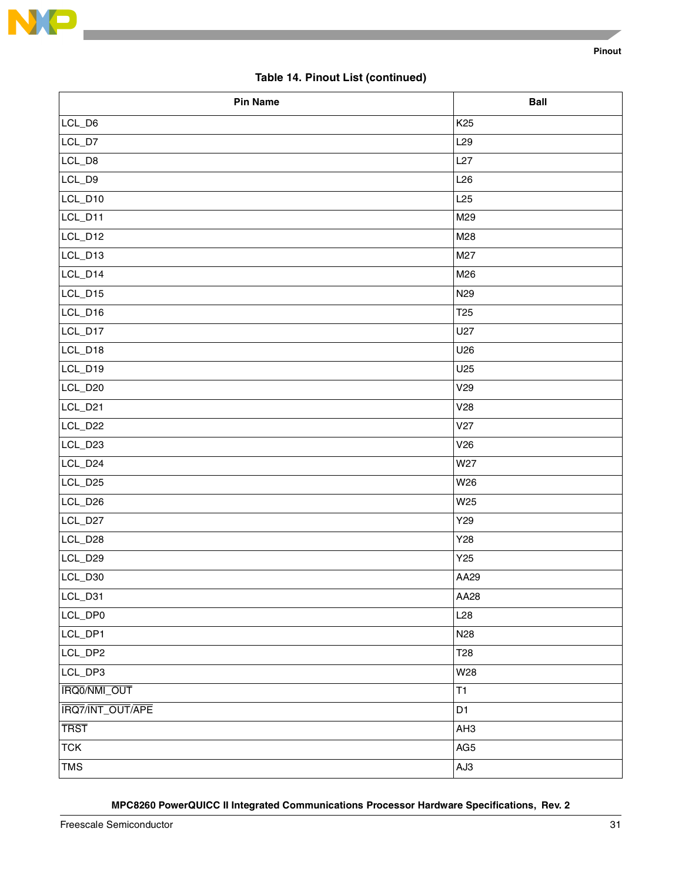

# **Table 14. Pinout List (continued)**

| <b>Pin Name</b>  | <b>Ball</b>     |
|------------------|-----------------|
| LCL_D6           | K <sub>25</sub> |
| $LCL_D7$         | L29             |
| LCL_D8           | L27             |
| LCL_D9           | L26             |
| LCL_D10          | L25             |
| LCL_D11          | M29             |
| LCL_D12          | M28             |
| LCL_D13          | M27             |
| LCL_D14          | M26             |
| LCL_D15          | N <sub>29</sub> |
| LCL_D16          | T <sub>25</sub> |
| LCL_D17          | U27             |
| LCL_D18          | U26             |
| LCL_D19          | U25             |
| LCL_D20          | V <sub>29</sub> |
| LCL_D21          | V28             |
| LCL_D22          | V27             |
| LCL_D23          | V26             |
| LCL_D24          | W27             |
| LCL_D25          | W26             |
| LCL_D26          | W25             |
| LCL_D27          | Y29             |
| LCL_D28          | Y28             |
| LCL_D29          | Y25             |
| LCL_D30          | AA29            |
| LCL_D31          | AA28            |
| LCL_DP0          | L28             |
| LCL_DP1          | N <sub>28</sub> |
| LCL_DP2          | T <sub>28</sub> |
| LCL_DP3          | W28             |
| IRQ0/NMI_OUT     | T1              |
| IRQ7/INT_OUT/APE | D <sub>1</sub>  |
| <b>TRST</b>      | AH <sub>3</sub> |
| <b>TCK</b>       | AG5             |
| <b>TMS</b>       | AJ3             |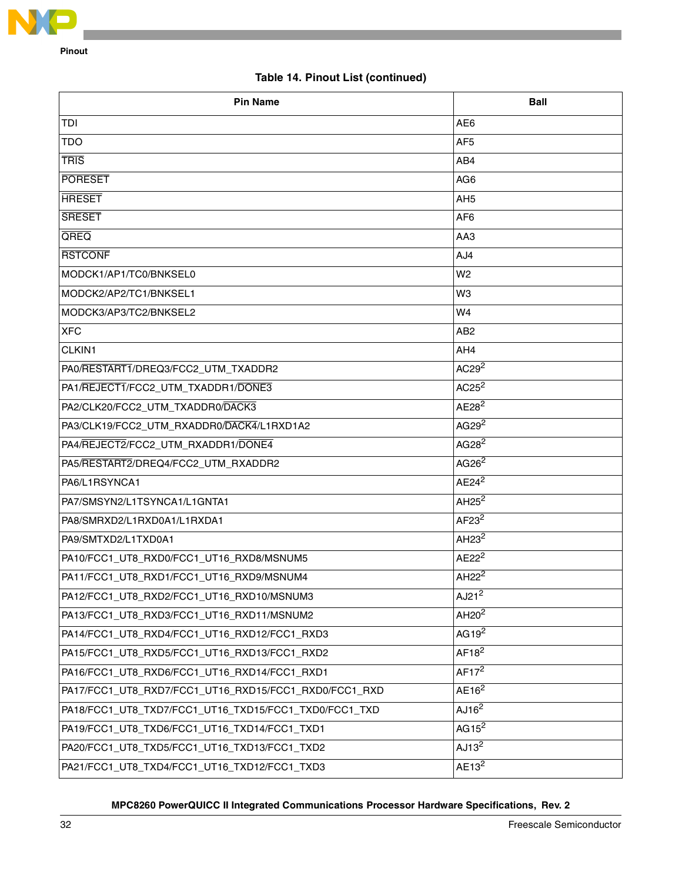

# **Table 14. Pinout List (continued)**

| <b>Pin Name</b>                                                            | <b>Ball</b>                   |
|----------------------------------------------------------------------------|-------------------------------|
| TDI                                                                        | AE <sub>6</sub>               |
| TDO                                                                        | AF <sub>5</sub>               |
| <b>TRIS</b>                                                                | AB4                           |
| <b>PORESET</b>                                                             | AG <sub>6</sub>               |
| <b>HRESET</b>                                                              | AH <sub>5</sub>               |
| <b>SRESET</b>                                                              | AF <sub>6</sub>               |
| QREQ                                                                       | AA3                           |
| <b>RSTCONF</b>                                                             | AJ4                           |
| MODCK1/AP1/TC0/BNKSEL0                                                     | W <sub>2</sub>                |
| MODCK2/AP2/TC1/BNKSEL1                                                     | W <sub>3</sub>                |
| MODCK3/AP3/TC2/BNKSEL2                                                     | W4                            |
| <b>XFC</b>                                                                 | AB <sub>2</sub>               |
| CLKIN1<br>AH4                                                              |                               |
| PA0/RESTART1/DREQ3/FCC2_UTM_TXADDR2                                        | AC29 <sup>2</sup>             |
| PA1/REJECT1/FCC2_UTM_TXADDR1/DONE3                                         | $AC25^2$                      |
| AE28 <sup>2</sup><br>PA2/CLK20/FCC2_UTM_TXADDR0/DACK3                      |                               |
| PA3/CLK19/FCC2_UTM_RXADDR0/DACK4/L1RXD1A2                                  | AG29 <sup>2</sup>             |
| PA4/REJECT2/FCC2_UTM_RXADDR1/DONE4                                         | AG28 <sup>2</sup>             |
| PA5/RESTART2/DREQ4/FCC2_UTM_RXADDR2                                        | AG26 <sup>2</sup>             |
| PA6/L1RSYNCA1                                                              | $AE24^2$                      |
| PA7/SMSYN2/L1TSYNCA1/L1GNTA1                                               | AH <sub>25</sub> $2$          |
| PA8/SMRXD2/L1RXD0A1/L1RXDA1                                                | AF23 <sup>2</sup>             |
| PA9/SMTXD2/L1TXD0A1                                                        | AH <sub>23</sub> <sup>2</sup> |
| $AE22^2$<br>PA10/FCC1_UT8_RXD0/FCC1_UT16_RXD8/MSNUM5                       |                               |
| AH <sub>22</sub> <sup>2</sup><br>PA11/FCC1_UT8_RXD1/FCC1_UT16_RXD9/MSNUM4  |                               |
| AJ2 $1^2$<br>PA12/FCC1_UT8_RXD2/FCC1_UT16_RXD10/MSNUM3                     |                               |
| AH20 <sup>2</sup><br>PA13/FCC1_UT8_RXD3/FCC1_UT16_RXD11/MSNUM2             |                               |
| AG19 $2$<br>PA14/FCC1_UT8_RXD4/FCC1_UT16_RXD12/FCC1_RXD3                   |                               |
| AF18 <sup>2</sup><br>PA15/FCC1_UT8_RXD5/FCC1_UT16_RXD13/FCC1_RXD2          |                               |
| PA16/FCC1_UT8_RXD6/FCC1_UT16_RXD14/FCC1_RXD1                               | AF17 <sup>2</sup>             |
| AE16 <sup>2</sup><br>PA17/FCC1_UT8_RXD7/FCC1_UT16_RXD15/FCC1_RXD0/FCC1_RXD |                               |
| AJ16 <sup>2</sup><br>PA18/FCC1_UT8_TXD7/FCC1_UT16_TXD15/FCC1_TXD0/FCC1_TXD |                               |
| PA19/FCC1_UT8_TXD6/FCC1_UT16_TXD14/FCC1_TXD1                               | AG15 $2$                      |
| PA20/FCC1_UT8_TXD5/FCC1_UT16_TXD13/FCC1_TXD2                               | AJ13 <sup>2</sup>             |
| PA21/FCC1_UT8_TXD4/FCC1_UT16_TXD12/FCC1_TXD3                               | $AE13^2$                      |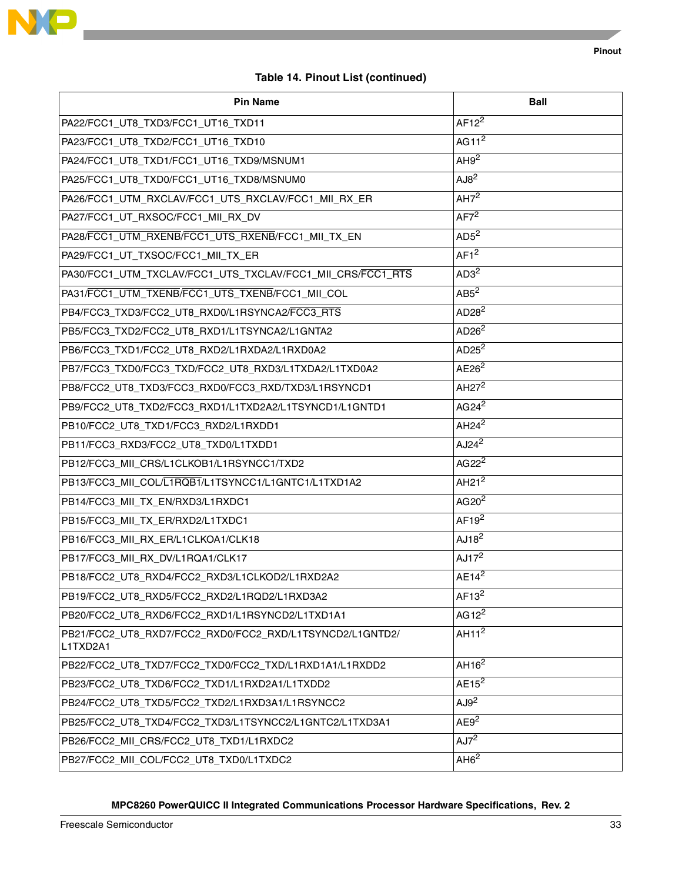

# **Table 14. Pinout List (continued)**

| <b>Pin Name</b>                                                      | Ball              |
|----------------------------------------------------------------------|-------------------|
| PA22/FCC1_UT8_TXD3/FCC1_UT16_TXD11                                   | $AF12^2$          |
| PA23/FCC1_UT8_TXD2/FCC1_UT16_TXD10                                   | AG11 $2$          |
| PA24/FCC1_UT8_TXD1/FCC1_UT16_TXD9/MSNUM1                             | AH9 <sup>2</sup>  |
| PA25/FCC1_UT8_TXD0/FCC1_UT16_TXD8/MSNUM0                             | AJB <sup>2</sup>  |
| PA26/FCC1_UTM_RXCLAV/FCC1_UTS_RXCLAV/FCC1_MII_RX_ER                  | AH7 <sup>2</sup>  |
| PA27/FCC1_UT_RXSOC/FCC1_MII_RX_DV                                    | AF7 <sup>2</sup>  |
| PA28/FCC1_UTM_RXENB/FCC1_UTS_RXENB/FCC1_MII_TX_EN                    | AD5 <sup>2</sup>  |
| PA29/FCC1_UT_TXSOC/FCC1_MII_TX_ER                                    | AF1 <sup>2</sup>  |
| PA30/FCC1_UTM_TXCLAV/FCC1_UTS_TXCLAV/FCC1_MII_CRS/FCC1_RTS           | AD3 <sup>2</sup>  |
| PA31/FCC1_UTM_TXENB/FCC1_UTS_TXENB/FCC1_MII_COL                      | AB5 <sup>2</sup>  |
| PB4/FCC3 TXD3/FCC2 UT8 RXD0/L1RSYNCA2/FCC3 RTS                       | AD28 <sup>2</sup> |
| AD26 <sup>2</sup><br>PB5/FCC3_TXD2/FCC2_UT8_RXD1/L1TSYNCA2/L1GNTA2   |                   |
| AD2 $5^2$<br>PB6/FCC3_TXD1/FCC2_UT8_RXD2/L1RXDA2/L1RXD0A2            |                   |
| PB7/FCC3_TXD0/FCC3_TXD/FCC2_UT8_RXD3/L1TXDA2/L1TXD0A2                | AE26 <sup>2</sup> |
| PB8/FCC2_UT8_TXD3/FCC3_RXD0/FCC3_RXD/TXD3/L1RSYNCD1                  | AH $27^2$         |
| PB9/FCC2_UT8_TXD2/FCC3_RXD1/L1TXD2A2/L1TSYNCD1/L1GNTD1               | AG24 <sup>2</sup> |
| PB10/FCC2_UT8_TXD1/FCC3_RXD2/L1RXDD1                                 | AH24 <sup>2</sup> |
| PB11/FCC3_RXD3/FCC2_UT8_TXD0/L1TXDD1                                 | AJ24 <sup>2</sup> |
| PB12/FCC3_MII_CRS/L1CLKOB1/L1RSYNCC1/TXD2                            | AG22 <sup>2</sup> |
| PB13/FCC3_MII_COL/L1RQB1/L1TSYNCC1/L1GNTC1/L1TXD1A2                  | AH21 <sup>2</sup> |
| PB14/FCC3_MII_TX_EN/RXD3/L1RXDC1                                     | AG20 <sup>2</sup> |
| PB15/FCC3_MII_TX_ER/RXD2/L1TXDC1                                     | AF19 <sup>2</sup> |
| PB16/FCC3_MII_RX_ER/L1CLKOA1/CLK18                                   | AJ18 <sup>2</sup> |
| PB17/FCC3_MII_RX_DV/L1RQA1/CLK17                                     | AJ17 <sup>2</sup> |
| PB18/FCC2_UT8_RXD4/FCC2_RXD3/L1CLKOD2/L1RXD2A2                       | $AE14^2$          |
| PB19/FCC2_UT8_RXD5/FCC2_RXD2/L1RQD2/L1RXD3A2                         | AF13 <sup>2</sup> |
| AG1 $2^2$<br>PB20/FCC2_UT8_RXD6/FCC2_RXD1/L1RSYNCD2/L1TXD1A1         |                   |
| PB21/FCC2_UT8_RXD7/FCC2_RXD0/FCC2_RXD/L1TSYNCD2/L1GNTD2/<br>L1TXD2A1 | AH11 <sup>2</sup> |
| PB22/FCC2_UT8_TXD7/FCC2_TXD0/FCC2_TXD/L1RXD1A1/L1RXDD2               | AH16 <sup>2</sup> |
| $AE15^2$<br>PB23/FCC2_UT8_TXD6/FCC2_TXD1/L1RXD2A1/L1TXDD2            |                   |
| PB24/FCC2_UT8_TXD5/FCC2_TXD2/L1RXD3A1/L1RSYNCC2                      | AJ9 <sup>2</sup>  |
| PB25/FCC2_UT8_TXD4/FCC2_TXD3/L1TSYNCC2/L1GNTC2/L1TXD3A1              | AE9 <sup>2</sup>  |
| PB26/FCC2_MII_CRS/FCC2_UT8_TXD1/L1RXDC2                              | AJ7 <sup>2</sup>  |
| PB27/FCC2_MII_COL/FCC2_UT8_TXD0/L1TXDC2                              | AH6 <sup>2</sup>  |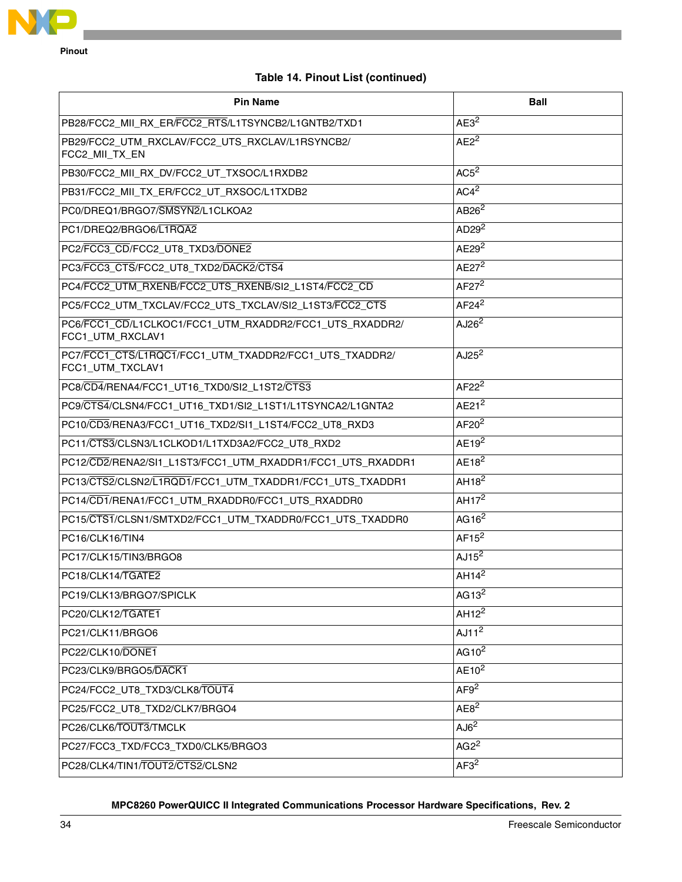

# **Table 14. Pinout List (continued)**

| <b>Pin Name</b>                                                             | Ball              |
|-----------------------------------------------------------------------------|-------------------|
| PB28/FCC2_MII_RX_ER/FCC2_RTS/L1TSYNCB2/L1GNTB2/TXD1                         | AE3 <sup>2</sup>  |
| PB29/FCC2_UTM_RXCLAV/FCC2_UTS_RXCLAV/L1RSYNCB2/<br>FCC2_MII_TX_EN           | AE2 <sup>2</sup>  |
| PB30/FCC2_MII_RX_DV/FCC2_UT_TXSOC/L1RXDB2                                   | AC5 <sup>2</sup>  |
| PB31/FCC2_MII_TX_ER/FCC2_UT_RXSOC/L1TXDB2                                   | AC4 <sup>2</sup>  |
| PC0/DREQ1/BRGO7/SMSYN2/L1CLKOA2                                             | AB26 <sup>2</sup> |
| PC1/DREQ2/BRGO6/L1RQA2                                                      | AD29 <sup>2</sup> |
| PC2/FCC3_CD/FCC2_UT8_TXD3/DONE2                                             | AE29 <sup>2</sup> |
| PC3/FCC3_CTS/FCC2_UT8_TXD2/DACK2/CTS4                                       | $AE27^2$          |
| PC4/FCC2_UTM_RXENB/FCC2_UTS_RXENB/SI2_L1ST4/FCC2_CD                         | $AF27^2$          |
| PC5/FCC2_UTM_TXCLAV/FCC2_UTS_TXCLAV/SI2_L1ST3/FCC2_CTS                      | $AF24^2$          |
| PC6/FCC1_CD/L1CLKOC1/FCC1_UTM_RXADDR2/FCC1_UTS_RXADDR2/<br>FCC1_UTM_RXCLAV1 | AJ26 <sup>2</sup> |
| PC7/FCC1_CTS/L1RQC1/FCC1_UTM_TXADDR2/FCC1_UTS_TXADDR2/<br>FCC1_UTM_TXCLAV1  | AJ25 <sup>2</sup> |
| PC8/CD4/RENA4/FCC1_UT16_TXD0/SI2_L1ST2/CTS3                                 | $AF22^2$          |
| PC9/CTS4/CLSN4/FCC1_UT16_TXD1/SI2_L1ST1/L1TSYNCA2/L1GNTA2                   | AE21 <sup>2</sup> |
| PC10/CD3/RENA3/FCC1_UT16_TXD2/SI1_L1ST4/FCC2_UT8_RXD3                       | AF20 <sup>2</sup> |
| PC11/CTS3/CLSN3/L1CLKOD1/L1TXD3A2/FCC2_UT8_RXD2                             | $AE19^2$          |
| PC12/CD2/RENA2/SI1_L1ST3/FCC1_UTM_RXADDR1/FCC1_UTS_RXADDR1                  | AE18 <sup>2</sup> |
| PC13/CTS2/CLSN2/L1RQD1/FCC1_UTM_TXADDR1/FCC1_UTS_TXADDR1                    | AH18 <sup>2</sup> |
| PC14/CD1/RENA1/FCC1_UTM_RXADDR0/FCC1_UTS_RXADDR0                            | AH $172$          |
| PC15/CTS1/CLSN1/SMTXD2/FCC1_UTM_TXADDR0/FCC1_UTS_TXADDR0                    | AG16 $2$          |
| PC16/CLK16/TIN4                                                             | $AF15^2$          |
| PC17/CLK15/TIN3/BRGO8                                                       | AJ15 <sup>2</sup> |
| PC18/CLK14/TGATE2                                                           | AH14 <sup>2</sup> |
| PC19/CLK13/BRGO7/SPICLK                                                     | AG13 $2$          |
| PC20/CLK12/TGATE1                                                           | AH12 <sup>2</sup> |
| PC21/CLK11/BRGO6                                                            | AJ11 <sup>2</sup> |
| PC22/CLK10/DONE1                                                            | AG10 $2$          |
| PC23/CLK9/BRGO5/DACK1                                                       | $AE10^2$          |
| PC24/FCC2_UT8_TXD3/CLK8/TOUT4                                               | AF9 <sup>2</sup>  |
| PC25/FCC2_UT8_TXD2/CLK7/BRGO4                                               | AE8 <sup>2</sup>  |
| PC26/CLK6/TOUT3/TMCLK                                                       | AJ6 <sup>2</sup>  |
| PC27/FCC3_TXD/FCC3_TXD0/CLK5/BRGO3                                          | AG2 <sup>2</sup>  |
| PC28/CLK4/TIN1/TOUT2/CTS2/CLSN2                                             | AF3 <sup>2</sup>  |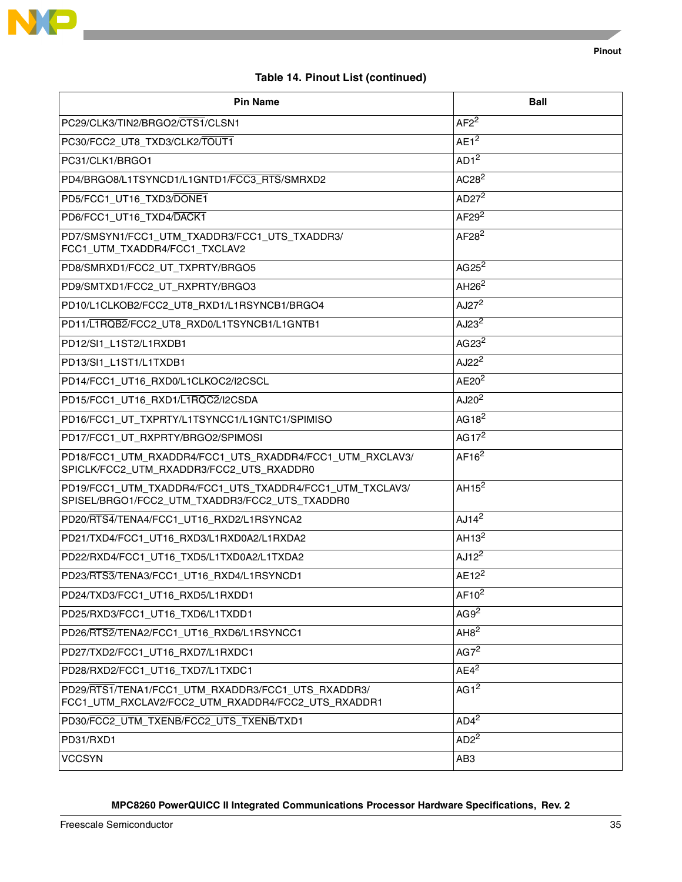

# **Table 14. Pinout List (continued)**

| <b>Pin Name</b>                                                                                            | Ball                          |
|------------------------------------------------------------------------------------------------------------|-------------------------------|
| PC29/CLK3/TIN2/BRGO2/CTS1/CLSN1                                                                            | $AF2^2$                       |
| PC30/FCC2_UT8_TXD3/CLK2/TOUT1                                                                              | AE1 <sup>2</sup>              |
| PC31/CLK1/BRGO1                                                                                            | AD1 <sup>2</sup>              |
| PD4/BRGO8/L1TSYNCD1/L1GNTD1/FCC3_RTS/SMRXD2                                                                | AC28 <sup>2</sup>             |
| PD5/FCC1_UT16_TXD3/DONE1                                                                                   | AD $27^2$                     |
| PD6/FCC1_UT16_TXD4/DACK1                                                                                   | AF29 <sup>2</sup>             |
| PD7/SMSYN1/FCC1_UTM_TXADDR3/FCC1_UTS_TXADDR3/<br>FCC1_UTM_TXADDR4/FCC1_TXCLAV2                             | AF28 <sup>2</sup>             |
| PD8/SMRXD1/FCC2_UT_TXPRTY/BRGO5                                                                            | $AG25^2$                      |
| PD9/SMTXD1/FCC2_UT_RXPRTY/BRGO3                                                                            | AH <sub>26</sub> <sup>2</sup> |
| PD10/L1CLKOB2/FCC2_UT8_RXD1/L1RSYNCB1/BRGO4                                                                | AJ2 $7^2$                     |
| AJ23 <sup>2</sup><br>PD11/L1RQB2/FCC2_UT8_RXD0/L1TSYNCB1/L1GNTB1                                           |                               |
| AG23 <sup>2</sup><br>PD12/SI1_L1ST2/L1RXDB1                                                                |                               |
| AJ22 <sup>2</sup><br>PD13/SI1 L1ST1/L1TXDB1                                                                |                               |
| PD14/FCC1_UT16_RXD0/L1CLKOC2/I2CSCL                                                                        | AE20 <sup>2</sup>             |
| PD15/FCC1_UT16_RXD1/L1RQC2/I2CSDA                                                                          | AJ20 <sup>2</sup>             |
| PD16/FCC1_UT_TXPRTY/L1TSYNCC1/L1GNTC1/SPIMISO                                                              | AG18 <sup>2</sup>             |
| PD17/FCC1_UT_RXPRTY/BRGO2/SPIMOSI                                                                          | AG17 $2$                      |
| PD18/FCC1_UTM_RXADDR4/FCC1_UTS_RXADDR4/FCC1_UTM_RXCLAV3/<br>SPICLK/FCC2_UTM_RXADDR3/FCC2_UTS_RXADDR0       | AF16 <sup>2</sup>             |
| PD19/FCC1_UTM_TXADDR4/FCC1_UTS_TXADDR4/FCC1_UTM_TXCLAV3/<br>SPISEL/BRGO1/FCC2_UTM_TXADDR3/FCC2_UTS_TXADDR0 | AH15 <sup>2</sup>             |
| PD20/RTS4/TENA4/FCC1_UT16_RXD2/L1RSYNCA2                                                                   | AJ14 <sup>2</sup>             |
| PD21/TXD4/FCC1_UT16_RXD3/L1RXD0A2/L1RXDA2                                                                  | AH13 <sup>2</sup>             |
| AJ12 <sup>2</sup><br>PD22/RXD4/FCC1_UT16_TXD5/L1TXD0A2/L1TXDA2                                             |                               |
| $AE12^2$<br>PD23/RTS3/TENA3/FCC1_UT16_RXD4/L1RSYNCD1                                                       |                               |
| PD24/TXD3/FCC1_UT16_RXD5/L1RXDD1                                                                           | $AF10^2$                      |
| PD25/RXD3/FCC1_UT16_TXD6/L1TXDD1                                                                           | AG9 <sup>2</sup>              |
| PD26/RTS2/TENA2/FCC1_UT16_RXD6/L1RSYNCC1                                                                   | AH8 <sup>2</sup>              |
| PD27/TXD2/FCC1_UT16_RXD7/L1RXDC1                                                                           | AG7 <sup>2</sup>              |
| PD28/RXD2/FCC1_UT16_TXD7/L1TXDC1                                                                           | $AE4^2$                       |
| PD29/RTS1/TENA1/FCC1_UTM_RXADDR3/FCC1_UTS_RXADDR3/<br>FCC1_UTM_RXCLAV2/FCC2_UTM_RXADDR4/FCC2_UTS_RXADDR1   | AG1 <sup>2</sup>              |
| PD30/FCC2_UTM_TXENB/FCC2_UTS_TXENB/TXD1                                                                    | AD4 <sup>2</sup>              |
| PD31/RXD1                                                                                                  | AD2 <sup>2</sup>              |
| <b>VCCSYN</b>                                                                                              | AB <sub>3</sub>               |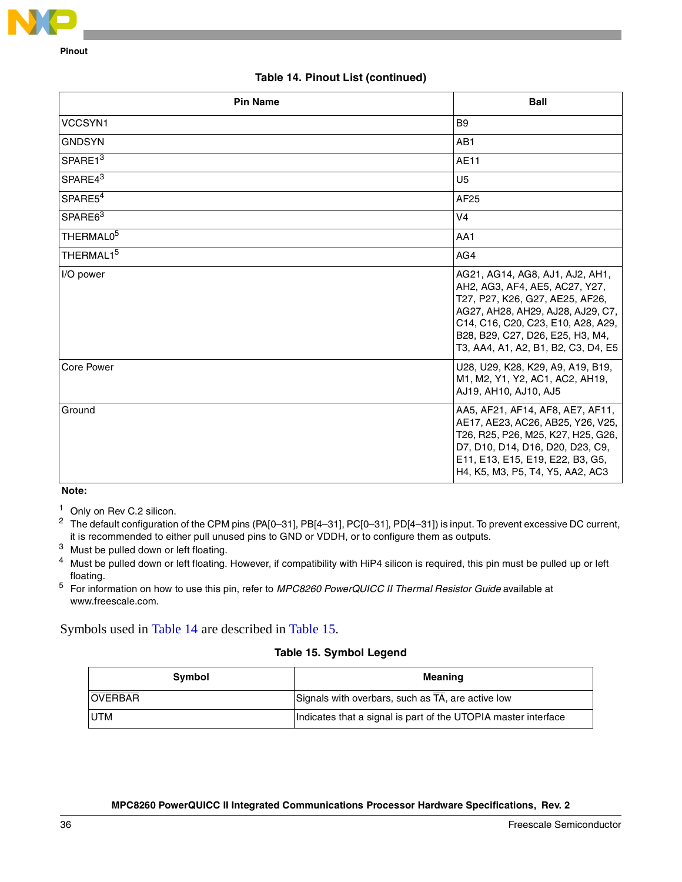

### **Table 14. Pinout List (continued)**

| <b>Pin Name</b>       | <b>Ball</b>                                                                                                                                                                                                                                                |
|-----------------------|------------------------------------------------------------------------------------------------------------------------------------------------------------------------------------------------------------------------------------------------------------|
| VCCSYN1               | B <sub>9</sub>                                                                                                                                                                                                                                             |
| <b>GNDSYN</b>         | AB1                                                                                                                                                                                                                                                        |
| SPARE13               | <b>AE11</b>                                                                                                                                                                                                                                                |
| SPARE43               | U <sub>5</sub>                                                                                                                                                                                                                                             |
| SPARE5 <sup>4</sup>   | AF25                                                                                                                                                                                                                                                       |
| SPARE <sub>63</sub>   | V <sub>4</sub>                                                                                                                                                                                                                                             |
| THERMAL0 <sup>5</sup> | AA1                                                                                                                                                                                                                                                        |
| THERMAL15             | AG4                                                                                                                                                                                                                                                        |
| I/O power             | AG21, AG14, AG8, AJ1, AJ2, AH1,<br>AH2, AG3, AF4, AE5, AC27, Y27,<br>T27, P27, K26, G27, AE25, AF26,<br>AG27, AH28, AH29, AJ28, AJ29, C7,<br>C14, C16, C20, C23, E10, A28, A29,<br>B28, B29, C27, D26, E25, H3, M4,<br>T3, AA4, A1, A2, B1, B2, C3, D4, E5 |
| <b>Core Power</b>     | U28, U29, K28, K29, A9, A19, B19,<br>M1, M2, Y1, Y2, AC1, AC2, AH19,<br>AJ19, AH10, AJ10, AJ5                                                                                                                                                              |
| Ground                | AA5, AF21, AF14, AF8, AE7, AF11,<br>AE17, AE23, AC26, AB25, Y26, V25,<br>T26, R25, P26, M25, K27, H25, G26,<br>D7, D10, D14, D16, D20, D23, C9,<br>E11, E13, E15, E19, E22, B3, G5,<br>H4, K5, M3, P5, T4, Y5, AA2, AC3                                    |

**Note:** 

<sup>1</sup> Only on Rev C.2 silicon.

<sup>2</sup> The default configuration of the CPM pins (PA[0–31], PB[4–31], PC[0–31], PD[4–31]) is input. To prevent excessive DC current, it is recommended to either pull unused pins to GND or VDDH, or to configure them as outputs.

<sup>3</sup> Must be pulled down or left floating.

<sup>4</sup> Must be pulled down or left floating. However, if compatibility with HiP4 silicon is required, this pin must be pulled up or left floating.

<sup>5</sup> For information on how to use this pin, refer to MPC8260 PowerQUICC II Thermal Resistor Guide available at www.freescale.com.

### <span id="page-35-0"></span>Symbols used in [Table 14](#page-24-1) are described in [Table 15](#page-35-0).

## **Table 15. Symbol Legend**

| Symbol         | Meaning                                                         |
|----------------|-----------------------------------------------------------------|
| <b>OVERBAR</b> | Signals with overbars, such as $\overline{TA}$ , are active low |
| <b>UTM</b>     | Indicates that a signal is part of the UTOPIA master interface  |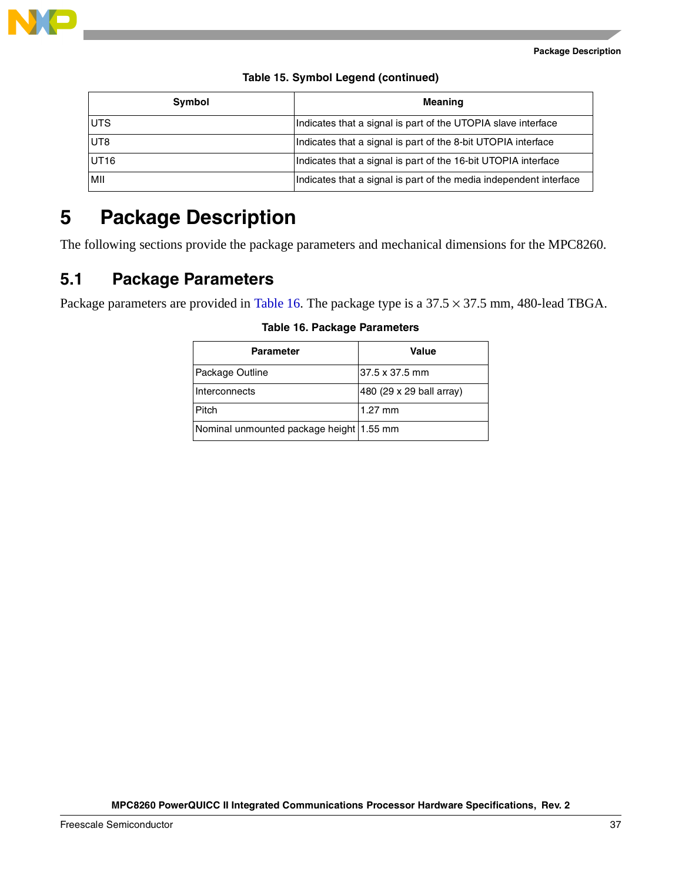

| Symbol | <b>Meaning</b>                                                     |  |
|--------|--------------------------------------------------------------------|--|
| UTS    | Indicates that a signal is part of the UTOPIA slave interface      |  |
| UT8    | Indicates that a signal is part of the 8-bit UTOPIA interface      |  |
| UT16   | Indicates that a signal is part of the 16-bit UTOPIA interface     |  |
| МII    | Indicates that a signal is part of the media independent interface |  |

**Table 15. Symbol Legend (continued)**

# <span id="page-36-0"></span>**5 Package Description**

The following sections provide the package parameters and mechanical dimensions for the MPC8260.

# **5.1 Package Parameters**

<span id="page-36-1"></span>Package parameters are provided in [Table 16.](#page-36-1) The package type is a  $37.5 \times 37.5$  mm, 480-lead TBGA.

| <b>Parameter</b>                           | Value                    |
|--------------------------------------------|--------------------------|
| Package Outline                            | 37.5 x 37.5 mm           |
| Interconnects                              | 480 (29 x 29 ball array) |
| Pitch                                      | $1.27$ mm                |
| Nominal unmounted package height   1.55 mm |                          |

**Table 16. Package Parameters**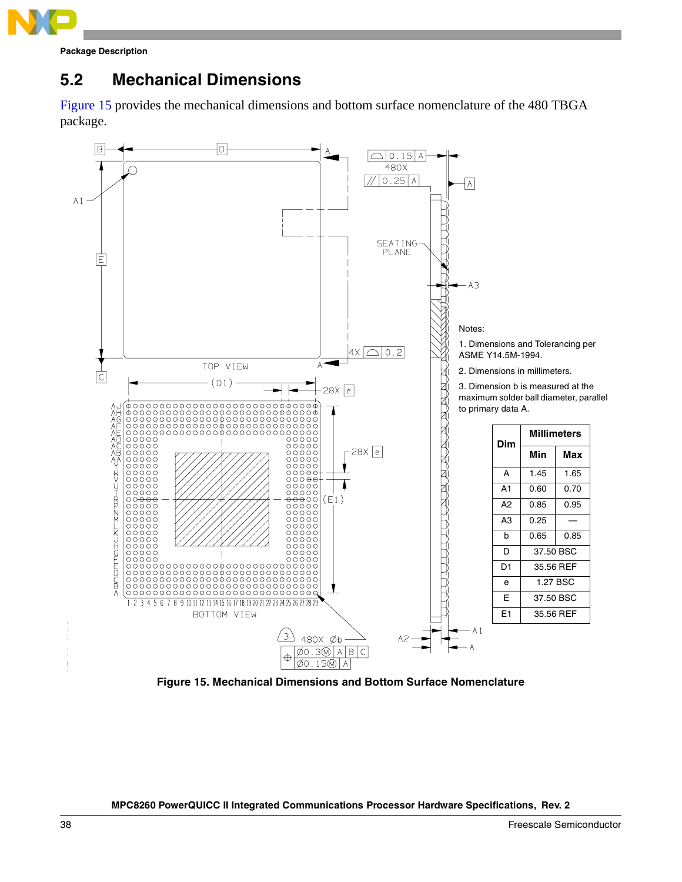

**Package Description**

# **5.2 Mechanical Dimensions**

[Figure 15](#page-37-0) provides the mechanical dimensions and bottom surface nomenclature of the 480 TBGA package.



<span id="page-37-0"></span>**Figure 15. Mechanical Dimensions and Bottom Surface Nomenclature**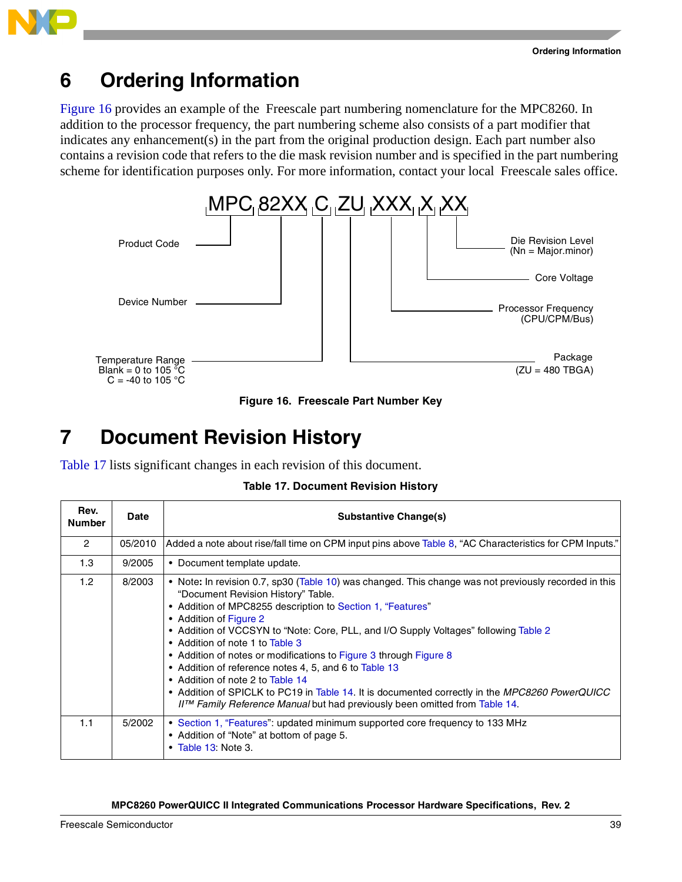

# <span id="page-38-0"></span>**6 Ordering Information**

[Figure 16](#page-38-2) provides an example of the Freescale part numbering nomenclature for the MPC8260. In addition to the processor frequency, the part numbering scheme also consists of a part modifier that indicates any enhancement(s) in the part from the original production design. Each part number also contains a revision code that refers to the die mask revision number and is specified in the part numbering scheme for identification purposes only. For more information, contact your local Freescale sales office.



**Figure 16. Freescale Part Number Key**

# <span id="page-38-2"></span><span id="page-38-1"></span>**7 Document Revision History**

<span id="page-38-3"></span>[Table 17](#page-38-3) lists significant changes in each revision of this document.

|  | <b>Table 17. Document Revision History</b> |  |  |
|--|--------------------------------------------|--|--|
|--|--------------------------------------------|--|--|

| Rev.<br><b>Number</b> | <b>Date</b> | <b>Substantive Change(s)</b>                                                                                                                                                                                                                                                                                                                                                                                                                                                                                                                                                                                                                                                                                               |
|-----------------------|-------------|----------------------------------------------------------------------------------------------------------------------------------------------------------------------------------------------------------------------------------------------------------------------------------------------------------------------------------------------------------------------------------------------------------------------------------------------------------------------------------------------------------------------------------------------------------------------------------------------------------------------------------------------------------------------------------------------------------------------------|
| $\overline{2}$        | 05/2010     | ".Added a note about rise/fall time on CPM input pins above Table 8, "AC Characteristics for CPM Inputs"                                                                                                                                                                                                                                                                                                                                                                                                                                                                                                                                                                                                                   |
| 1.3                   | 9/2005      | • Document template update.                                                                                                                                                                                                                                                                                                                                                                                                                                                                                                                                                                                                                                                                                                |
| 1.2 <sub>1</sub>      | 8/2003      | • Note: In revision 0.7, sp30 (Table 10) was changed. This change was not previously recorded in this<br>"Document Revision History" Table.<br>• Addition of MPC8255 description to Section 1, "Features"<br>• Addition of Figure 2<br>• Addition of VCCSYN to "Note: Core, PLL, and I/O Supply Voltages" following Table 2<br>• Addition of note 1 to Table 3<br>• Addition of notes or modifications to Figure 3 through Figure 8<br>• Addition of reference notes 4, 5, and 6 to Table 13<br>• Addition of note 2 to Table 14<br>• Addition of SPICLK to PC19 in Table 14. It is documented correctly in the MPC8260 PowerQUICC<br>$II^{\tau M}$ Family Reference Manual but had previously been omitted from Table 14. |
| 1.1                   | 5/2002      | • Section 1, "Features": updated minimum supported core frequency to 133 MHz<br>• Addition of "Note" at bottom of page 5.<br>$\bullet$ Table 13: Note 3.                                                                                                                                                                                                                                                                                                                                                                                                                                                                                                                                                                   |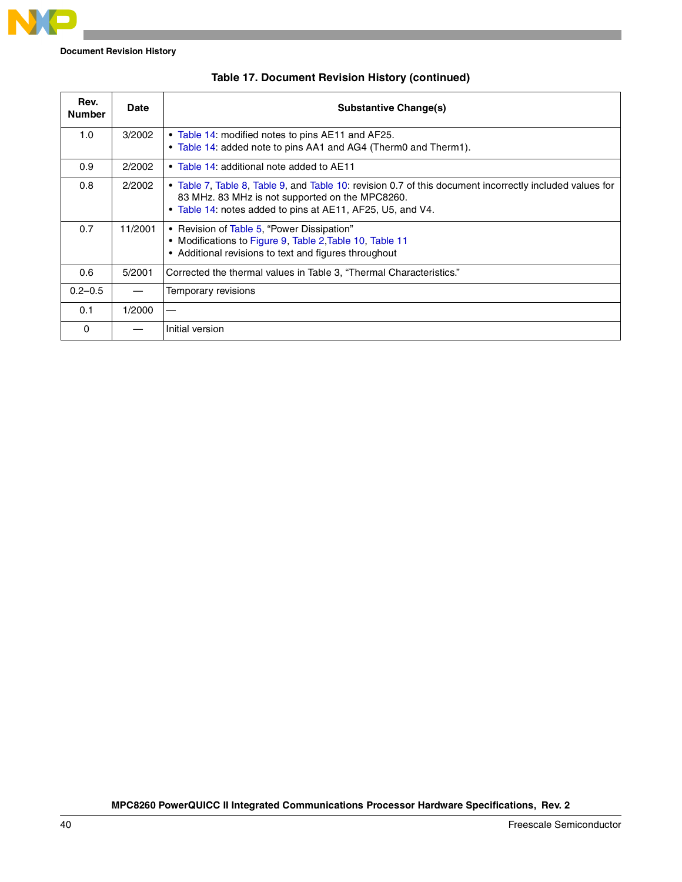

**Document Revision History**

| Rev.<br><b>Number</b> | Date    | <b>Substantive Change(s)</b>                                                                                                                                                                                              |
|-----------------------|---------|---------------------------------------------------------------------------------------------------------------------------------------------------------------------------------------------------------------------------|
| 1.0                   | 3/2002  | • Table 14: modified notes to pins AE11 and AF25.<br>• Table 14: added note to pins AA1 and AG4 (Therm0 and Therm1).                                                                                                      |
| 0.9                   | 2/2002  | • Table 14: additional note added to AE11                                                                                                                                                                                 |
| 0.8                   | 2/2002  | • Table 7, Table 8, Table 9, and Table 10: revision 0.7 of this document incorrectly included values for<br>83 MHz. 83 MHz is not supported on the MPC8260.<br>. Table 14: notes added to pins at AE11, AF25, U5, and V4. |
| 0.7                   | 11/2001 | • Revision of Table 5, "Power Dissipation"<br>• Modifications to Figure 9, Table 2, Table 10, Table 11<br>• Additional revisions to text and figures throughout                                                           |
| 0.6                   | 5/2001  | Corrected the thermal values in Table 3, "Thermal Characteristics."                                                                                                                                                       |
| $0.2 - 0.5$           |         | Temporary revisions                                                                                                                                                                                                       |
| 0.1                   | 1/2000  |                                                                                                                                                                                                                           |
| 0                     |         | Initial version                                                                                                                                                                                                           |

|  |  |  |  | Table 17. Document Revision History (continued) |
|--|--|--|--|-------------------------------------------------|
|--|--|--|--|-------------------------------------------------|